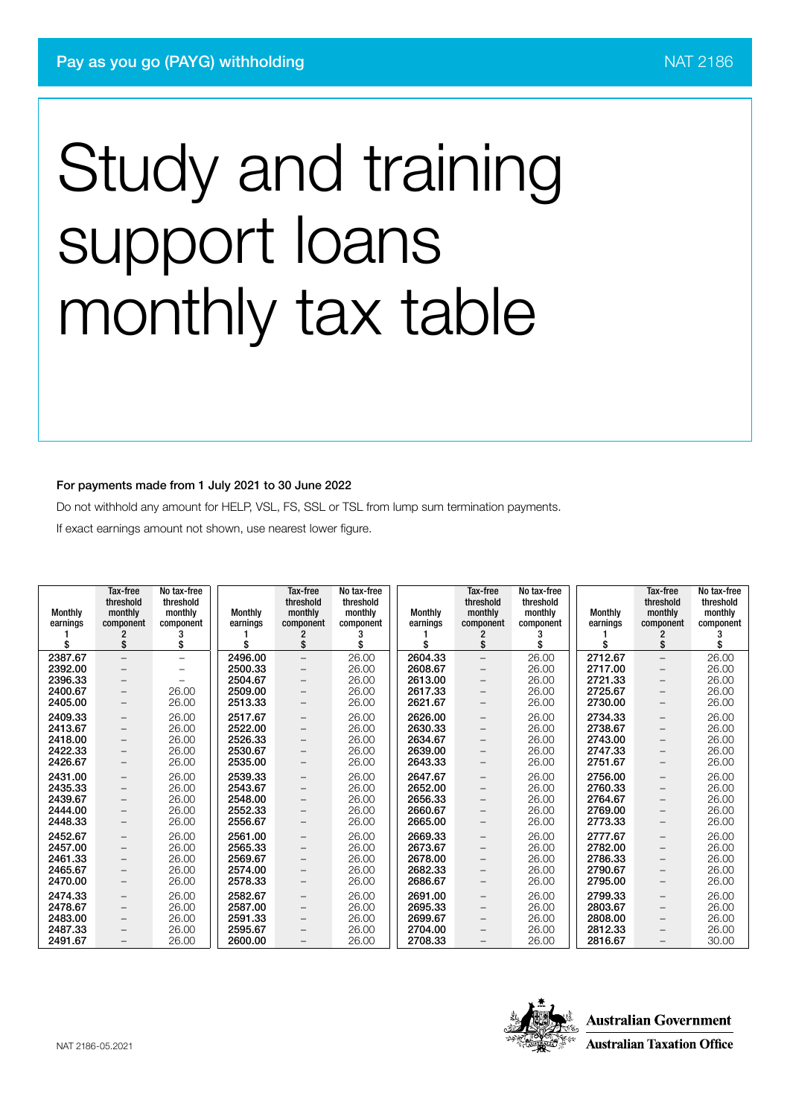#### For payments made from 1 July 2021 to 30 June 2022

Do not withhold any amount for HELP, VSL, FS, SSL or TSL from lump sum termination payments.

If exact earnings amount not shown, use nearest lower figure.

| <b>Monthly</b><br>earnings | Tax-free<br>threshold<br>monthly<br>component<br>\$ | No tax-free<br>threshold<br>monthly<br>component<br>\$ | <b>Monthly</b><br>earnings | Tax-free<br>threshold<br>monthly<br>component<br>\$ | No tax-free<br>threshold<br>monthly<br>component<br>\$ | <b>Monthly</b><br>earnings<br>\$ | Tax-free<br>threshold<br>monthly<br>component<br>\$ | No tax-free<br>threshold<br>monthly<br>component<br>S | <b>Monthly</b><br>earnings<br>\$ | Tax-free<br>threshold<br>monthly<br>component<br>\$ | No tax-free<br>threshold<br>monthly<br>component |
|----------------------------|-----------------------------------------------------|--------------------------------------------------------|----------------------------|-----------------------------------------------------|--------------------------------------------------------|----------------------------------|-----------------------------------------------------|-------------------------------------------------------|----------------------------------|-----------------------------------------------------|--------------------------------------------------|
| 2387.67                    |                                                     |                                                        | 2496.00                    |                                                     |                                                        | 2604.33                          |                                                     |                                                       | 2712.67                          |                                                     |                                                  |
| 2392.00                    | $-$                                                 | $\overline{\phantom{0}}$                               | 2500.33                    | $-$                                                 | 26.00<br>26.00                                         | 2608.67                          | $\overline{\phantom{m}}$                            | 26.00<br>26.00                                        | 2717.00                          | $\overline{\phantom{m}}$                            | 26.00<br>26.00                                   |
| 2396.33                    | $\overline{\phantom{0}}$                            | $\overline{\phantom{0}}$                               | 2504.67                    | -                                                   |                                                        | 2613.00                          | $\qquad \qquad -$                                   |                                                       | 2721.33                          | $\overline{\phantom{m}}$                            |                                                  |
|                            | $\overline{\phantom{0}}$                            |                                                        |                            | $-$                                                 | 26.00                                                  |                                  | $\qquad \qquad -$                                   | 26.00                                                 |                                  | $\qquad \qquad -$                                   | 26.00                                            |
| 2400.67                    | -                                                   | 26.00                                                  | 2509.00                    | -                                                   | 26.00                                                  | 2617.33                          | $\qquad \qquad -$                                   | 26.00                                                 | 2725.67                          | $\overline{\phantom{m}}$                            | 26.00                                            |
| 2405.00                    | -                                                   | 26.00                                                  | 2513.33                    | $-$                                                 | 26.00                                                  | 2621.67                          | $\qquad \qquad -$                                   | 26.00                                                 | 2730.00                          | $\overline{\phantom{m}}$                            | 26.00                                            |
| 2409.33                    | $\overline{\phantom{0}}$                            | 26.00                                                  | 2517.67                    | $\overline{\phantom{0}}$                            | 26.00                                                  | 2626.00                          | $\overline{\phantom{m}}$                            | 26.00                                                 | 2734.33                          | $\overline{\phantom{m}}$                            | 26.00                                            |
| 2413.67                    | -                                                   | 26.00                                                  | 2522.00                    | -                                                   | 26.00                                                  | 2630.33                          | $\qquad \qquad -$                                   | 26.00                                                 | 2738.67                          | $\overline{\phantom{m}}$                            | 26.00                                            |
| 2418.00                    | -                                                   | 26.00                                                  | 2526.33                    | -                                                   | 26.00                                                  | 2634.67                          | $\qquad \qquad -$                                   | 26.00                                                 | 2743.00                          | $\overline{\phantom{m}}$                            | 26.00                                            |
| 2422.33                    | -                                                   | 26.00                                                  | 2530.67                    | -                                                   | 26.00                                                  | 2639.00                          | $\qquad \qquad -$                                   | 26.00                                                 | 2747.33                          | —                                                   | 26.00                                            |
| 2426.67                    | -                                                   | 26.00                                                  | 2535.00                    |                                                     | 26.00                                                  | 2643.33                          | $\qquad \qquad -$                                   | 26.00                                                 | 2751.67                          | —                                                   | 26.00                                            |
| 2431.00                    | -                                                   | 26.00                                                  | 2539.33                    | $\overline{\phantom{0}}$                            | 26.00                                                  | 2647.67                          | $\qquad \qquad -$                                   | 26.00                                                 | 2756.00                          | -                                                   | 26.00                                            |
| 2435.33                    | $\overline{\phantom{0}}$                            | 26.00                                                  | 2543.67                    | $-$                                                 | 26.00                                                  | 2652.00                          | $\qquad \qquad -$                                   | 26.00                                                 | 2760.33                          | —                                                   | 26.00                                            |
| 2439.67                    | -                                                   | 26.00                                                  | 2548.00                    | $-$                                                 | 26.00                                                  | 2656.33                          | $\qquad \qquad -$                                   | 26.00                                                 | 2764.67                          | $\qquad \qquad -$                                   | 26.00                                            |
| 2444.00                    | -                                                   | 26.00                                                  | 2552.33                    | $-$                                                 | 26.00                                                  | 2660.67                          | $\overline{\phantom{0}}$                            | 26.00                                                 | 2769.00                          | -                                                   | 26.00                                            |
| 2448.33                    | -                                                   | 26.00                                                  | 2556.67                    | -                                                   | 26.00                                                  | 2665.00                          | $\qquad \qquad -$                                   | 26.00                                                 | 2773.33                          | —                                                   | 26.00                                            |
| 2452.67                    | -                                                   | 26.00                                                  | 2561.00                    | $\overline{\phantom{0}}$                            | 26.00                                                  | 2669.33                          | $\overline{\phantom{0}}$                            | 26.00                                                 | 2777.67                          | -                                                   | 26.00                                            |
| 2457.00                    | -                                                   | 26.00                                                  | 2565.33                    | -                                                   | 26.00                                                  | 2673.67                          | $\qquad \qquad -$                                   | 26.00                                                 | 2782.00                          | —                                                   | 26.00                                            |
| 2461.33                    | -                                                   | 26.00                                                  | 2569.67                    |                                                     | 26.00                                                  | 2678.00                          | $\overline{\phantom{0}}$                            | 26.00                                                 | 2786.33                          | -                                                   | 26.00                                            |
| 2465.67                    |                                                     | 26.00                                                  | 2574.00                    | $-$                                                 | 26.00                                                  | 2682.33                          |                                                     | 26.00                                                 | 2790.67                          |                                                     | 26.00                                            |
| 2470.00                    | -                                                   | 26.00                                                  | 2578.33                    | -                                                   | 26.00                                                  | 2686.67                          | $\qquad \qquad -$                                   |                                                       | 2795.00                          |                                                     | 26.00                                            |
|                            | -                                                   |                                                        |                            | -                                                   |                                                        |                                  | $\qquad \qquad -$                                   | 26.00                                                 |                                  | —                                                   |                                                  |
| 2474.33                    | -                                                   | 26.00                                                  | 2582.67                    | -                                                   | 26.00                                                  | 2691.00                          | $\qquad \qquad -$                                   | 26.00                                                 | 2799.33                          | —                                                   | 26.00                                            |
| 2478.67                    | -                                                   | 26.00                                                  | 2587.00                    | -                                                   | 26.00                                                  | 2695.33                          | $\qquad \qquad -$                                   | 26.00                                                 | 2803.67                          | $\overline{\phantom{m}}$                            | 26.00                                            |
| 2483.00                    | -                                                   | 26.00                                                  | 2591.33                    | $-$                                                 | 26.00                                                  | 2699.67                          | $\overline{\phantom{0}}$                            | 26.00                                                 | 2808.00                          | -                                                   | 26.00                                            |
| 2487.33                    | -                                                   | 26.00                                                  | 2595.67                    |                                                     | 26.00                                                  | 2704.00                          |                                                     | 26.00                                                 | 2812.33                          | -                                                   | 26.00                                            |
| 2491.67                    | -                                                   | 26.00                                                  | 2600.00                    |                                                     | 26.00                                                  | 2708.33                          | $\qquad \qquad -$                                   | 26.00                                                 | 2816.67                          | $\overline{\phantom{0}}$                            | 30.00                                            |

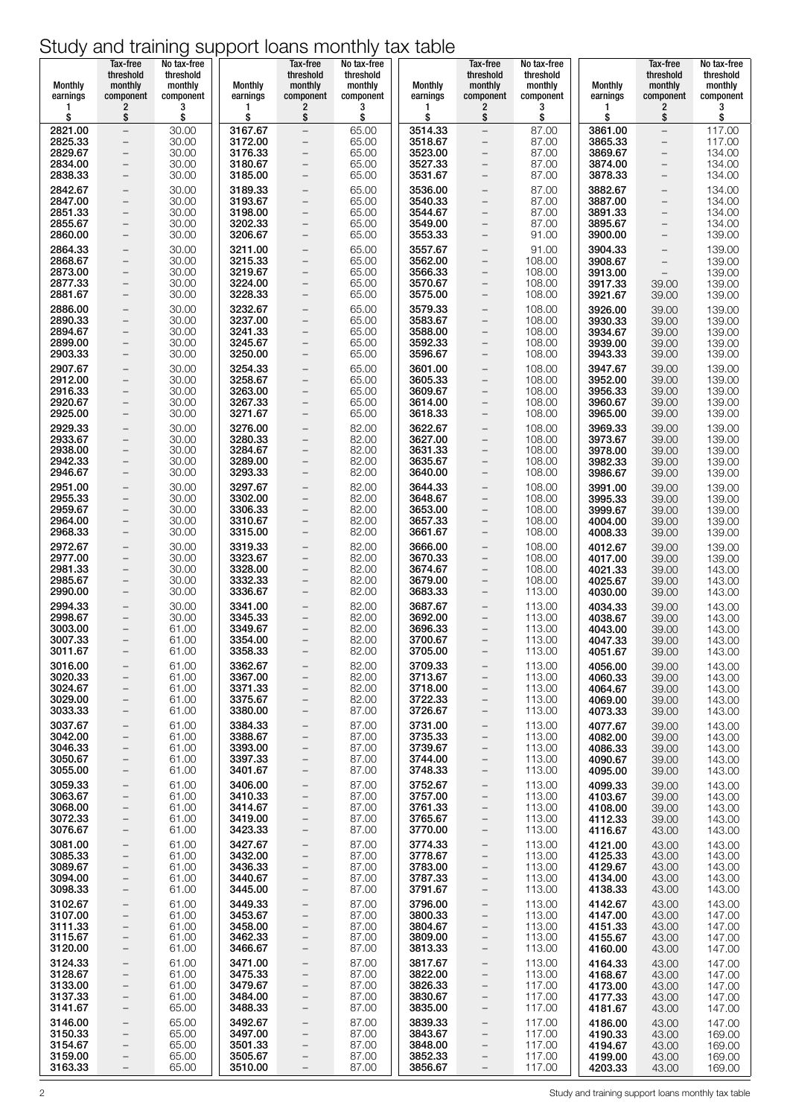| Monthly<br>earnings | Tax-free<br>threshold<br>monthly<br>component        | No tax-free<br>threshold<br>monthly<br>component | <b>Monthly</b><br>earnings | Tax-free<br>threshold<br>monthly<br>component        | No tax-free<br>threshold<br>monthly<br>component | Monthly<br>earnings | Tax-free<br>threshold<br>monthly<br>component        | No tax-free<br>threshold<br>monthly<br>component | <b>Monthly</b><br>earnings | Tax-free<br>threshold<br>monthly<br>component        | No tax-free<br>threshold<br>monthly<br>component |
|---------------------|------------------------------------------------------|--------------------------------------------------|----------------------------|------------------------------------------------------|--------------------------------------------------|---------------------|------------------------------------------------------|--------------------------------------------------|----------------------------|------------------------------------------------------|--------------------------------------------------|
| 1<br>\$             | $\overline{\mathbf{c}}$<br>\$                        | 3<br>\$                                          | 1<br>\$                    | 2<br>\$                                              | 3<br>\$                                          | 1<br>\$             | $\overline{\mathbf{c}}$<br>\$                        | 3<br>\$                                          | 1<br>\$                    | $\overline{\mathbf{c}}$<br>\$                        | 3<br>\$                                          |
| 2821.00<br>2825.33  | $\qquad \qquad -$                                    | 30.00                                            | 3167.67<br>3172.00         | $\qquad \qquad -$                                    | 65.00                                            | 3514.33<br>3518.67  | $\overline{\phantom{0}}$                             | 87.00                                            | 3861.00<br>3865.33         | $\overline{\phantom{0}}$                             | 117.00<br>117.00                                 |
| 2829.67             | $\overline{\phantom{0}}$<br>$\qquad \qquad -$        | 30.00<br>30.00                                   | 3176.33                    | $\overline{\phantom{a}}$<br>$\overline{\phantom{a}}$ | 65.00<br>65.00                                   | 3523.00             | $\qquad \qquad -$<br>$\overline{\phantom{0}}$        | 87.00<br>87.00                                   | 3869.67                    | $\overline{\phantom{0}}$<br>$\qquad \qquad -$        | 134.00                                           |
| 2834.00<br>2838.33  | $\qquad \qquad -$<br>$\overline{\phantom{a}}$        | 30.00<br>30.00                                   | 3180.67<br>3185.00         | $\overline{\phantom{m}}$<br>$\overline{\phantom{m}}$ | 65.00<br>65.00                                   | 3527.33<br>3531.67  | $\overline{\phantom{0}}$<br>$\overline{\phantom{a}}$ | 87.00<br>87.00                                   | 3874.00<br>3878.33         | $\overline{\phantom{0}}$<br>-                        | 134.00<br>134.00                                 |
| 2842.67             | $\overline{\phantom{a}}$                             | 30.00                                            | 3189.33                    | $\overline{\phantom{a}}$                             | 65.00                                            | 3536.00             | $\qquad \qquad -$                                    | 87.00                                            | 3882.67                    | $\overline{\phantom{0}}$                             | 134.00                                           |
| 2847.00             | $\qquad \qquad -$<br>$\qquad \qquad -$               | 30.00                                            | 3193.67                    | $\overline{\phantom{a}}$                             | 65.00                                            | 3540.33             | $\overline{\phantom{0}}$<br>$\overline{\phantom{0}}$ | 87.00                                            | 3887.00                    | $\overline{\phantom{0}}$                             | 134.00                                           |
| 2851.33<br>2855.67  | $\overline{\phantom{a}}$                             | 30.00<br>30.00                                   | 3198.00<br>3202.33         | $\overline{\phantom{m}}$<br>$\overline{\phantom{a}}$ | 65.00<br>65.00                                   | 3544.67<br>3549.00  | $\qquad \qquad -$                                    | 87.00<br>87.00                                   | 3891.33<br>3895.67         | $\overline{\phantom{0}}$<br>$\overline{\phantom{0}}$ | 134.00<br>134.00                                 |
| 2860.00             | $\overline{\phantom{a}}$                             | 30.00                                            | 3206.67                    | $\overline{\phantom{m}}$                             | 65.00                                            | 3553.33             | $\overline{\phantom{a}}$                             | 91.00                                            | 3900.00                    | $\qquad \qquad -$                                    | 139.00                                           |
| 2864.33<br>2868.67  | $\qquad \qquad -$<br>$\overline{\phantom{a}}$        | 30.00<br>30.00                                   | 3211.00<br>3215.33         | $\overline{\phantom{a}}$<br>$\overline{\phantom{a}}$ | 65.00<br>65.00                                   | 3557.67<br>3562.00  | $\qquad \qquad -$<br>$\bar{ }$                       | 91.00<br>108.00                                  | 3904.33<br>3908.67         | $\qquad \qquad -$<br>$\qquad \qquad -$               | 139.00<br>139.00                                 |
| 2873.00<br>2877.33  | $\qquad \qquad -$<br>$\overline{\phantom{a}}$        | 30.00<br>30.00                                   | 3219.67<br>3224.00         | $\overline{\phantom{a}}$<br>$\overline{\phantom{a}}$ | 65.00<br>65.00                                   | 3566.33<br>3570.67  | $\overline{\phantom{0}}$<br>$\overline{a}$           | 108.00<br>108.00                                 | 3913.00<br>3917.33         | $\overline{\phantom{a}}$                             | 139.00<br>139.00                                 |
| 2881.67             | $\qquad \qquad -$                                    | 30.00                                            | 3228.33                    | $\qquad \qquad -$                                    | 65.00                                            | 3575.00             | $\qquad \qquad -$                                    | 108.00                                           | 3921.67                    | 39.00<br>39.00                                       | 139.00                                           |
| 2886.00             | $\overline{\phantom{0}}$                             | 30.00                                            | 3232.67                    | $\overline{\phantom{m}}$                             | 65.00                                            | 3579.33             | $\qquad \qquad -$                                    | 108.00                                           | 3926.00                    | 39.00                                                | 139.00                                           |
| 2890.33<br>2894.67  | $\qquad \qquad -$<br>$\qquad \qquad -$               | 30.00<br>30.00                                   | 3237.00<br>3241.33         | $\qquad \qquad -$<br>$\overline{\phantom{m}}$        | 65.00<br>65.00                                   | 3583.67<br>3588.00  | $\overline{\phantom{0}}$<br>$\overline{a}$           | 108.00<br>108.00                                 | 3930.33<br>3934.67         | 39.00<br>39.00                                       | 139.00<br>139.00                                 |
| 2899.00<br>2903.33  | $\overline{\phantom{a}}$<br>$\overline{\phantom{a}}$ | 30.00<br>30.00                                   | 3245.67<br>3250.00         | $\overline{\phantom{a}}$<br>$\overline{\phantom{m}}$ | 65.00<br>65.00                                   | 3592.33<br>3596.67  | $\qquad \qquad -$<br>$\qquad \qquad -$               | 108.00<br>108.00                                 | 3939.00<br>3943.33         | 39.00<br>39.00                                       | 139.00<br>139.00                                 |
| 2907.67             | $\qquad \qquad -$                                    | 30.00                                            | 3254.33                    | $\qquad \qquad -$                                    | 65.00                                            | 3601.00             | $\overline{\phantom{0}}$                             | 108.00                                           | 3947.67                    | 39.00                                                | 139.00                                           |
| 2912.00<br>2916.33  | $\equiv$<br>$\overline{\phantom{a}}$                 | 30.00<br>30.00                                   | 3258.67<br>3263.00         | $\overline{\phantom{m}}$<br>$\overline{\phantom{m}}$ | 65.00<br>65.00                                   | 3605.33<br>3609.67  | $\overline{\phantom{0}}$<br>$\overline{\phantom{a}}$ | 108.00<br>108.00                                 | 3952.00<br>3956.33         | 39.00<br>39.00                                       | 139.00<br>139.00                                 |
| 2920.67             | $\overline{\phantom{a}}$                             | 30.00                                            | 3267.33                    | $\overline{\phantom{m}}$                             | 65.00                                            | 3614.00             | $\overline{\phantom{0}}$                             | 108.00                                           | 3960.67                    | 39.00                                                | 139.00                                           |
| 2925.00             | $\overline{\phantom{a}}$                             | 30.00                                            | 3271.67<br>3276.00         | $\qquad \qquad -$                                    | 65.00                                            | 3618.33             | $\qquad \qquad -$                                    | 108.00                                           | 3965.00                    | 39.00                                                | 139.00                                           |
| 2929.33<br>2933.67  | $\qquad \qquad -$<br>$\qquad \qquad -$               | 30.00<br>30.00                                   | 3280.33                    | $\overline{\phantom{a}}$<br>$\overline{\phantom{a}}$ | 82.00<br>82.00                                   | 3622.67<br>3627.00  | $\qquad \qquad -$<br>e                               | 108.00<br>108.00                                 | 3969.33<br>3973.67         | 39.00<br>39.00                                       | 139.00<br>139.00                                 |
| 2938.00<br>2942.33  | $\overline{\phantom{a}}$<br>$\qquad \qquad -$        | 30.00<br>30.00                                   | 3284.67<br>3289.00         | $\overline{\phantom{a}}$<br>$\qquad \qquad -$        | 82.00<br>82.00                                   | 3631.33<br>3635.67  | $\overline{a}$<br>$\qquad \qquad -$                  | 108.00<br>108.00                                 | 3978.00<br>3982.33         | 39.00<br>39.00                                       | 139.00<br>139.00                                 |
| 2946.67             | $\overline{\phantom{a}}$                             | 30.00                                            | 3293.33                    | $\overline{\phantom{a}}$                             | 82.00                                            | 3640.00             | $\bar{ }$                                            | 108.00                                           | 3986.67                    | 39.00                                                | 139.00                                           |
| 2951.00<br>2955.33  | $\qquad \qquad -$<br>$\qquad \qquad -$               | 30.00<br>30.00                                   | 3297.67<br>3302.00         | $\overline{\phantom{a}}$<br>$\qquad \qquad -$        | 82.00<br>82.00                                   | 3644.33<br>3648.67  | $\overline{\phantom{0}}$<br>$\qquad \qquad -$        | 108.00<br>108.00                                 | 3991.00<br>3995.33         | 39.00<br>39.00                                       | 139.00<br>139.00                                 |
| 2959.67             | $\qquad \qquad -$                                    | 30.00                                            | 3306.33                    | $\overline{\phantom{a}}$                             | 82.00                                            | 3653.00             | $\overline{\phantom{0}}$                             | 108.00                                           | 3999.67                    | 39.00                                                | 139.00                                           |
| 2964.00<br>2968.33  | $\qquad \qquad -$<br>$\qquad \qquad -$               | 30.00<br>30.00                                   | 3310.67<br>3315.00         | $\overline{\phantom{m}}$<br>$\overline{\phantom{a}}$ | 82.00<br>82.00                                   | 3657.33<br>3661.67  | $\overline{\phantom{a}}$<br>$\qquad \qquad -$        | 108.00<br>108.00                                 | 4004.00<br>4008.33         | 39.00<br>39.00                                       | 139.00<br>139.00                                 |
| 2972.67             | $\overline{\phantom{a}}$                             | 30.00                                            | 3319.33                    | $\qquad \qquad -$                                    | 82.00                                            | 3666.00             | $\qquad \qquad -$                                    | 108.00                                           | 4012.67                    | 39.00                                                | 139.00                                           |
| 2977.00<br>2981.33  | $\overline{\phantom{a}}$<br>$\overline{\phantom{a}}$ | 30.00<br>30.00                                   | 3323.67<br>3328.00         | $\overline{\phantom{m}}$<br>$\overline{\phantom{m}}$ | 82.00<br>82.00                                   | 3670.33<br>3674.67  | $\qquad \qquad -$<br>$\overline{a}$                  | 108.00<br>108.00                                 | 4017.00<br>4021.33         | 39.00<br>39.00                                       | 139.00<br>143.00                                 |
| 2985.67<br>2990.00  | $\qquad \qquad -$                                    | 30.00<br>30.00                                   | 3332.33<br>3336.67         | $\overline{\phantom{a}}$                             | 82.00<br>82.00                                   | 3679.00<br>3683.33  | $\overline{\phantom{a}}$<br>$\overline{\phantom{0}}$ | 108.00<br>113.00                                 | 4025.67                    | 39.00                                                | 143.00<br>143.00                                 |
| 2994.33             | $\qquad \qquad -$<br>$\qquad \qquad -$               | 30.00                                            | 3341.00                    | $\qquad \qquad -$<br>$\overline{\phantom{m}}$        | 82.00                                            | 3687.67             | $\qquad \qquad -$                                    | 113.00                                           | 4030.00<br>4034.33         | 39.00<br>39.00                                       | 143.00                                           |
| 2998.67             | $\qquad \qquad -$                                    | 30.00                                            | 3345.33<br>3349.67         | $\overline{\phantom{m}}$                             | 82.00                                            | 3692.00<br>3696.33  | $\qquad \qquad -$                                    | 113.00                                           | 4038.67                    | 39.00                                                | 143.00                                           |
| 3003.00<br>3007.33  | $\overline{\phantom{a}}$<br>$\overline{\phantom{a}}$ | 61.00<br>61.00                                   | 3354.00                    | $\overline{\phantom{m}}$<br>$\overline{\phantom{m}}$ | 82.00<br>82.00                                   | 3700.67             | $\qquad \qquad -$<br>$\overline{\phantom{a}}$        | 113.00<br>113.00                                 | 4043.00<br>4047.33         | 39.00<br>39.00                                       | 143.00<br>143.00                                 |
| 3011.67             |                                                      | 61.00                                            | 3358.33                    |                                                      | 82.00                                            | 3705.00             |                                                      | 113.00                                           | 4051.67                    | 39.00                                                | 143.00                                           |
| 3016.00<br>3020.33  | $\overline{\phantom{a}}$<br>$\overline{\phantom{0}}$ | 61.00<br>61.00                                   | 3362.67<br>3367.00         | $\overline{\phantom{m}}$<br>$\overline{\phantom{a}}$ | 82.00<br>82.00                                   | 3709.33<br>3713.67  | $\qquad \qquad -$<br>$\qquad \qquad -$               | 113.00<br>113.00                                 | 4056.00<br>4060.33         | 39.00<br>39.00                                       | 143.00<br>143.00                                 |
| 3024.67<br>3029.00  | $\qquad \qquad -$<br>$\overline{\phantom{0}}$        | 61.00<br>61.00                                   | 3371.33<br>3375.67         | $\overline{\phantom{m}}$<br>$\qquad \qquad -$        | 82.00<br>82.00                                   | 3718.00<br>3722.33  | $\qquad \qquad -$<br>$\overline{\phantom{a}}$        | 113.00<br>113.00                                 | 4064.67<br>4069.00         | 39.00<br>39.00                                       | 143.00<br>143.00                                 |
| 3033.33             | $\qquad \qquad -$                                    | 61.00                                            | 3380.00                    | $\overline{\phantom{a}}$                             | 87.00                                            | 3726.67             | $\qquad \qquad -$                                    | 113.00                                           | 4073.33                    | 39.00                                                | 143.00                                           |
| 3037.67<br>3042.00  | $\overline{\phantom{0}}$<br>$\overline{\phantom{0}}$ | 61.00<br>61.00                                   | 3384.33<br>3388.67         | $\overline{\phantom{a}}$<br>$\overline{\phantom{a}}$ | 87.00<br>87.00                                   | 3731.00<br>3735.33  | $\qquad \qquad -$<br>$\overline{\phantom{a}}$        | 113.00<br>113.00                                 | 4077.67<br>4082.00         | 39.00<br>39.00                                       | 143.00<br>143.00                                 |
| 3046.33             | $\qquad \qquad -$                                    | 61.00                                            | 3393.00                    | $\qquad \qquad -$                                    | 87.00                                            | 3739.67             | $\qquad \qquad -$                                    | 113.00                                           | 4086.33                    | 39.00                                                | 143.00                                           |
| 3050.67<br>3055.00  | $\qquad \qquad -$<br>$\overline{\phantom{0}}$        | 61.00<br>61.00                                   | 3397.33<br>3401.67         | $\qquad \qquad -$<br>$\overline{\phantom{a}}$        | 87.00<br>87.00                                   | 3744.00<br>3748.33  | $\qquad \qquad -$<br>$\qquad \qquad -$               | 113.00<br>113.00                                 | 4090.67<br>4095.00         | 39.00<br>39.00                                       | 143.00<br>143.00                                 |
| 3059.33             | $\overline{\phantom{a}}$                             | 61.00                                            | 3406.00                    | $\overline{\phantom{m}}$                             | 87.00                                            | 3752.67             | $\qquad \qquad -$                                    | 113.00                                           | 4099.33                    | 39.00                                                | 143.00                                           |
| 3063.67<br>3068.00  | $\overline{\phantom{0}}$<br>$\qquad \qquad -$        | 61.00<br>61.00                                   | 3410.33<br>3414.67         | $\overline{\phantom{a}}$<br>$\overline{\phantom{m}}$ | 87.00<br>87.00                                   | 3757.00<br>3761.33  | $\qquad \qquad -$<br>$\overline{\phantom{a}}$        | 113.00<br>113.00                                 | 4103.67<br>4108.00         | 39.00<br>39.00                                       | 143.00<br>143.00                                 |
| 3072.33<br>3076.67  | -                                                    | 61.00                                            | 3419.00<br>3423.33         | $\overline{\phantom{m}}$                             | 87.00<br>87.00                                   | 3765.67<br>3770.00  | $\qquad \qquad -$                                    | 113.00<br>113.00                                 | 4112.33                    | 39.00                                                | 143.00                                           |
| 3081.00             | $\qquad \qquad -$<br>$\overline{\phantom{a}}$        | 61.00<br>61.00                                   | 3427.67                    | $\qquad \qquad -$<br>$\overline{\phantom{m}}$        | 87.00                                            | 3774.33             | $\qquad \qquad -$<br>$\overline{\phantom{a}}$        | 113.00                                           | 4116.67<br>4121.00         | 43.00<br>43.00                                       | 143.00<br>143.00                                 |
| 3085.33<br>3089.67  | $\qquad \qquad -$                                    | 61.00                                            | 3432.00<br>3436.33         | $\overline{\phantom{m}}$                             | 87.00<br>87.00                                   | 3778.67<br>3783.00  | $\overline{\phantom{a}}$                             | 113.00                                           | 4125.33                    | 43.00                                                | 143.00                                           |
| 3094.00             | $\qquad \qquad -$<br>-                               | 61.00<br>61.00                                   | 3440.67                    | $\overline{\phantom{m}}$<br>$\overline{\phantom{m}}$ | 87.00                                            | 3787.33             | $\qquad \qquad -$<br>$\qquad \qquad -$               | 113.00<br>113.00                                 | 4129.67<br>4134.00         | 43.00<br>43.00                                       | 143.00<br>143.00                                 |
| 3098.33<br>3102.67  | $\overline{\phantom{a}}$                             | 61.00                                            | 3445.00<br>3449.33         | $\overline{\phantom{a}}$                             | 87.00                                            | 3791.67<br>3796.00  | $\overline{\phantom{a}}$                             | 113.00                                           | 4138.33                    | 43.00                                                | 143.00                                           |
| 3107.00             | $\overline{\phantom{a}}$<br>$\qquad \qquad -$        | 61.00<br>61.00                                   | 3453.67                    | $\overline{\phantom{m}}$<br>$\overline{\phantom{a}}$ | 87.00<br>87.00                                   | 3800.33             | $\overline{\phantom{a}}$<br>$\qquad \qquad -$        | 113.00<br>113.00                                 | 4142.67<br>4147.00         | 43.00<br>43.00                                       | 143.00<br>147.00                                 |
| 3111.33<br>3115.67  | $\qquad \qquad -$<br>$\overline{\phantom{0}}$        | 61.00<br>61.00                                   | 3458.00<br>3462.33         | $\overline{\phantom{0}}$<br>$\overline{\phantom{m}}$ | 87.00<br>87.00                                   | 3804.67<br>3809.00  | $\qquad \qquad -$<br>$\qquad \qquad -$               | 113.00<br>113.00                                 | 4151.33<br>4155.67         | 43.00<br>43.00                                       | 147.00<br>147.00                                 |
| 3120.00             | $\qquad \qquad -$                                    | 61.00                                            | 3466.67                    | $\overline{\phantom{a}}$                             | 87.00                                            | 3813.33             | $\qquad \qquad -$                                    | 113.00                                           | 4160.00                    | 43.00                                                | 147.00                                           |
| 3124.33<br>3128.67  | $\overline{\phantom{0}}$<br>$\qquad \qquad -$        | 61.00<br>61.00                                   | 3471.00<br>3475.33         | $\overline{\phantom{a}}$<br>$\overline{\phantom{m}}$ | 87.00<br>87.00                                   | 3817.67<br>3822.00  | $\overline{\phantom{a}}$<br>$\overline{\phantom{a}}$ | 113.00<br>113.00                                 | 4164.33<br>4168.67         | 43.00<br>43.00                                       | 147.00<br>147.00                                 |
| 3133.00             | $\overline{\phantom{0}}$                             | 61.00                                            | 3479.67                    | $\qquad \qquad -$                                    | 87.00                                            | 3826.33             | $\overline{\phantom{a}}$                             | 117.00                                           | 4173.00                    | 43.00                                                | 147.00                                           |
| 3137.33<br>3141.67  | $\qquad \qquad -$<br>$\overline{\phantom{a}}$        | 61.00<br>65.00                                   | 3484.00<br>3488.33         | $\overline{\phantom{a}}$<br>$\overline{\phantom{a}}$ | 87.00<br>87.00                                   | 3830.67<br>3835.00  | $\qquad \qquad -$<br>$\overline{\phantom{a}}$        | 117.00<br>117.00                                 | 4177.33<br>4181.67         | 43.00<br>43.00                                       | 147.00<br>147.00                                 |
| 3146.00             | $\overline{\phantom{0}}$                             | 65.00                                            | 3492.67                    | $\overline{\phantom{a}}$                             | 87.00                                            | 3839.33             | $\overline{\phantom{a}}$                             | 117.00                                           | 4186.00                    | 43.00                                                | 147.00                                           |
| 3150.33<br>3154.67  | $\qquad \qquad -$<br>$\qquad \qquad -$               | 65.00<br>65.00                                   | 3497.00<br>3501.33         | $\overline{\phantom{m}}$<br>$\overline{\phantom{a}}$ | 87.00<br>87.00                                   | 3843.67<br>3848.00  | $\qquad \qquad -$<br>$\qquad \qquad -$               | 117.00<br>117.00                                 | 4190.33<br>4194.67         | 43.00<br>43.00                                       | 169.00<br>169.00                                 |
| 3159.00<br>3163.33  | $\overline{\phantom{0}}$<br>$\overline{\phantom{0}}$ | 65.00<br>65.00                                   | 3505.67<br>3510.00         | $\overline{\phantom{a}}$<br>$\overline{\phantom{a}}$ | 87.00<br>87.00                                   | 3852.33<br>3856.67  | $\qquad \qquad -$<br>$\qquad \qquad -$               | 117.00<br>117.00                                 | 4199.00<br>4203.33         | 43.00<br>43.00                                       | 169.00<br>169.00                                 |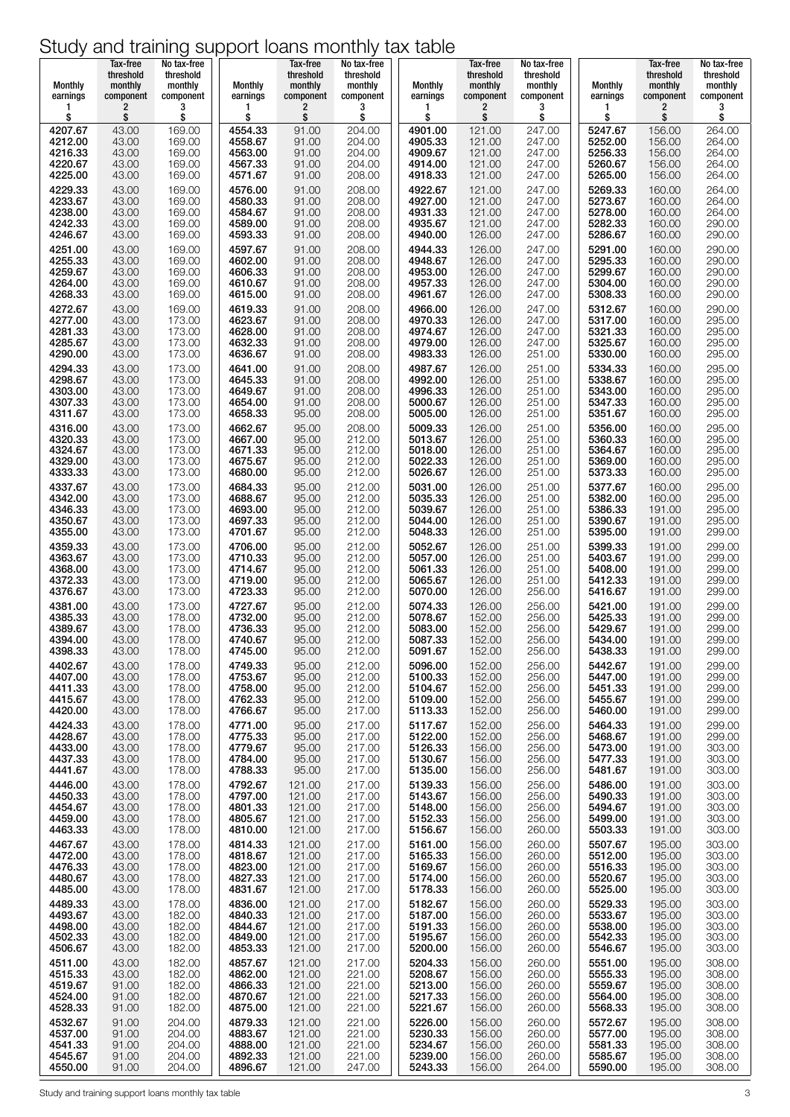| Monthly                       | Tax-free<br>threshold<br>monthly | No tax-free<br>threshold<br>monthly | <b>Monthly</b>                | Tax-free<br>threshold<br>monthly | No tax-free<br>threshold<br>monthly | Monthly            | Tax-free<br>threshold<br>monthly | No tax-free<br>threshold<br>monthly | <b>Monthly</b>                | Tax-free<br>threshold<br>monthly | No tax-free<br>threshold<br>monthly |
|-------------------------------|----------------------------------|-------------------------------------|-------------------------------|----------------------------------|-------------------------------------|--------------------|----------------------------------|-------------------------------------|-------------------------------|----------------------------------|-------------------------------------|
| earnings                      | component                        | component                           | earnings                      | component                        | component                           | earnings           | component                        | component                           | earnings                      | component                        | component                           |
| 1                             | 2                                | 3                                   | 1                             | 2                                | 3                                   | 1                  | 2                                | 3                                   | 1                             | 2                                | 3                                   |
| \$                            | \$                               | \$                                  | \$                            | \$                               | \$                                  | \$                 | \$                               | \$                                  | \$                            | \$                               | \$                                  |
| 4207.67                       | 43.00                            | 169.00                              | 4554.33                       | 91.00                            | 204.00                              | 4901.00            | 121.00                           | 247.00                              | 5247.67                       | 156.00                           | 264.00                              |
| 4212.00                       | 43.00                            | 169.00                              | 4558.67                       | 91.00                            | 204.00                              | 4905.33            | 121.00                           | 247.00                              | 5252.00                       | 156.00                           | 264.00                              |
| 4216.33                       | 43.00                            | 169.00                              | 4563.00                       | 91.00                            | 204.00                              | 4909.67            | 121.00                           | 247.00                              | 5256.33                       | 156.00                           | 264.00                              |
| 4220.67                       | 43.00                            | 169.00                              | 4567.33                       | 91.00                            | 204.00                              | 4914.00            | 121.00                           | 247.00                              | 5260.67                       | 156.00                           | 264.00                              |
| 4225.00                       | 43.00                            | 169.00                              | 4571.67                       | 91.00                            | 208.00                              | 4918.33            | 121.00                           | 247.00                              | 5265.00                       | 156.00                           | 264.00                              |
| 4229.33                       | 43.00                            | 169.00                              | 4576.00                       | 91.00                            | 208.00                              | 4922.67            | 121.00                           | 247.00                              | 5269.33                       | 160.00                           | 264.00                              |
| 4233.67                       | 43.00                            | 169.00                              | 4580.33                       | 91.00                            | 208.00                              | 4927.00            | 121.00                           | 247.00                              | 5273.67                       | 160.00                           | 264.00                              |
| 4238.00                       | 43.00                            | 169.00                              | 4584.67                       | 91.00                            | 208.00                              | 4931.33            | 121.00                           | 247.00                              | 5278.00                       | 160.00                           | 264.00                              |
| 4242.33                       | 43.00                            | 169.00                              | 4589.00                       | 91.00                            | 208.00                              | 4935.67            | 121.00                           | 247.00                              | 5282.33                       | 160.00                           | 290.00                              |
| 4246.67                       | 43.00                            | 169.00                              | 4593.33                       | 91.00                            | 208.00                              | 4940.00            | 126.00                           | 247.00                              | 5286.67                       | 160.00                           | 290.00                              |
| 4251.00                       | 43.00                            | 169.00                              | 4597.67                       | 91.00                            | 208.00                              | 4944.33            | 126.00                           | 247.00                              | 5291.00                       | 160.00                           | 290.00                              |
| 4255.33                       | 43.00                            | 169.00                              | 4602.00                       | 91.00                            | 208.00                              | 4948.67            | 126.00                           | 247.00                              | 5295.33                       | 160.00                           | 290.00                              |
| 4259.67                       | 43.00                            | 169.00                              | 4606.33                       | 91.00                            | 208.00                              | 4953.00            | 126.00                           | 247.00                              | 5299.67                       | 160.00                           | 290.00                              |
| 4264.00                       | 43.00                            | 169.00                              | 4610.67                       | 91.00                            | 208.00                              | 4957.33            | 126.00                           | 247.00                              | 5304.00                       | 160.00                           | 290.00                              |
| 4268.33                       | 43.00                            | 169.00                              | 4615.00                       | 91.00                            | 208.00                              | 4961.67            | 126.00                           | 247.00                              | 5308.33                       | 160.00                           | 290.00                              |
| 4272.67                       | 43.00                            | 169.00                              | 4619.33                       | 91.00                            | 208.00                              | 4966.00            | 126.00                           | 247.00                              | 5312.67                       | 160.00                           | 290.00                              |
| 4277.00                       | 43.00                            | 173.00                              | 4623.67                       | 91.00                            | 208.00                              | 4970.33            | 126.00                           | 247.00                              | 5317.00                       | 160.00                           | 295.00                              |
| 4281.33                       | 43.00                            | 173.00                              | 4628.00                       | 91.00                            | 208.00                              | 4974.67            | 126.00                           | 247.00                              | 5321.33                       | 160.00                           | 295.00                              |
| 4285.67                       | 43.00                            | 173.00                              | 4632.33                       | 91.00                            | 208.00                              | 4979.00            | 126.00                           | 247.00                              | 5325.67                       | 160.00                           | 295.00                              |
| 4290.00                       | 43.00                            | 173.00                              | 4636.67                       | 91.00                            | 208.00                              | 4983.33            | 126.00                           | 251.00                              | 5330.00                       | 160.00                           | 295.00                              |
| 4294.33                       | 43.00                            | 173.00                              | 4641.00                       | 91.00                            | 208.00                              | 4987.67            | 126.00                           | 251.00                              | 5334.33                       | 160.00                           | 295.00                              |
| 4298.67                       | 43.00                            | 173.00                              | 4645.33                       | 91.00                            | 208.00                              | 4992.00            | 126.00                           | 251.00                              | 5338.67                       | 160.00                           | 295.00                              |
| 4303.00                       | 43.00                            | 173.00                              | 4649.67                       | 91.00                            | 208.00                              | 4996.33            | 126.00                           | 251.00                              | 5343.00                       | 160.00                           | 295.00                              |
| 4307.33                       | 43.00                            | 173.00                              | 4654.00                       | 91.00                            | 208.00                              | 5000.67            | 126.00                           | 251.00                              | 5347.33                       | 160.00                           | 295.00                              |
| 4311.67                       | 43.00                            | 173.00                              | 4658.33                       | 95.00                            | 208.00                              | 5005.00            | 126.00                           | 251.00                              | 5351.67                       | 160.00                           | 295.00                              |
| 4316.00                       | 43.00                            | 173.00                              | 4662.67                       | 95.00                            | 208.00                              | 5009.33            | 126.00                           | 251.00                              | 5356.00                       | 160.00                           | 295.00                              |
| 4320.33                       | 43.00                            | 173.00                              | 4667.00                       | 95.00                            | 212.00                              | 5013.67            | 126.00                           | 251.00                              | 5360.33                       | 160.00                           | 295.00                              |
| 4324.67                       | 43.00                            | 173.00                              | 4671.33                       | 95.00                            | 212.00                              | 5018.00            | 126.00                           | 251.00                              | 5364.67                       | 160.00                           | 295.00                              |
| 4329.00                       | 43.00                            | 173.00                              | 4675.67                       | 95.00                            | 212.00                              | 5022.33            | 126.00                           | 251.00                              | 5369.00                       | 160.00                           | 295.00                              |
| 4333.33                       | 43.00                            | 173.00                              | 4680.00                       | 95.00                            | 212.00                              | 5026.67            | 126.00                           | 251.00                              | 5373.33                       | 160.00                           | 295.00                              |
| 4337.67                       | 43.00                            | 173.00                              | 4684.33                       | 95.00                            | 212.00                              | 5031.00            | 126.00                           | 251.00                              | 5377.67                       | 160.00                           | 295.00                              |
| 4342.00                       | 43.00                            | 173.00                              | 4688.67                       | 95.00                            | 212.00                              | 5035.33            | 126.00                           | 251.00                              | 5382.00                       | 160.00                           | 295.00                              |
| 4346.33                       | 43.00                            | 173.00                              | 4693.00                       | 95.00                            | 212.00                              | 5039.67            | 126.00                           | 251.00                              | 5386.33                       | 191.00                           | 295.00                              |
| 4350.67                       | 43.00                            | 173.00                              | 4697.33                       | 95.00                            | 212.00                              | 5044.00            | 126.00                           | 251.00                              | 5390.67                       | 191.00                           | 295.00                              |
| 4355.00                       | 43.00                            | 173.00                              | 4701.67                       | 95.00                            | 212.00                              | 5048.33            | 126.00                           | 251.00                              | 5395.00                       | 191.00                           | 299.00                              |
| 4359.33                       | 43.00                            | 173.00                              | 4706.00                       | 95.00                            | 212.00                              | 5052.67            | 126.00                           | 251.00                              | 5399.33                       | 191.00                           | 299.00                              |
| 4363.67                       | 43.00                            | 173.00                              | 4710.33                       | 95.00                            | 212.00                              | 5057.00            | 126.00                           | 251.00                              | 5403.67                       | 191.00                           | 299.00                              |
| 4368.00                       | 43.00                            | 173.00                              | 4714.67                       | 95.00                            | 212.00                              | 5061.33            | 126.00                           | 251.00                              | 5408.00                       | 191.00                           | 299.00                              |
| 4372.33                       | 43.00                            | 173.00                              | 4719.00                       | 95.00                            | 212.00                              | 5065.67            | 126.00                           | 251.00                              | 5412.33                       | 191.00                           | 299.00                              |
| 4376.67                       | 43.00                            | 173.00                              | 4723.33                       | 95.00                            | 212.00                              | 5070.00            | 126.00                           | 256.00                              | 5416.67                       | 191.00                           | 299.00                              |
| 4381.00                       | 43.00                            | 173.00                              | 4727.67                       | 95.00                            | 212.00                              | 5074.33            | 126.00                           | 256.00                              | 5421.00                       | 191.00                           | 299.00                              |
| 4385.33                       | 43.00                            | 178.00                              | 4732.00                       | 95.00                            | 212.00                              | 5078.67            | 152.00                           | 256.00                              | 5425.33                       | 191.00                           | 299.00                              |
| 4389.67                       | 43.00                            | 178.00                              | 4736.33                       | 95.00                            | 212.00                              | 5083.00            | 152.00                           | 256.00                              | 5429.67                       | 191.00                           | 299.00                              |
| 4394.00                       | 43.00                            | 178.00                              | 4740.67                       | 95.00                            | 212.00                              | 5087.33            | 152.00                           | 256.00                              | 5434.00                       | 191.00                           | 299.00                              |
| 4398.33                       | 43.00                            | 178.00                              | 4745.00                       | 95.00                            | 212.00<br>212.00                    | 5091.67<br>5096.00 | 152.00                           | 256.00                              | 5438.33                       | 191.00                           | 299.00<br>299.00                    |
| 4402.67<br>4407.00<br>4411.33 | 43.00<br>43.00<br>43.00          | 178.00<br>178.00<br>178.00          | 4749.33<br>4753.67<br>4758.00 | 95.00<br>95.00<br>95.00          | 212.00<br>212.00                    | 5100.33<br>5104.67 | 152.00<br>152.00<br>152.00       | 256.00<br>256.00<br>256.00          | 5442.67<br>5447.00<br>5451.33 | 191.00<br>191.00<br>191.00       | 299.00<br>299.00                    |
| 4415.67                       | 43.00                            | 178.00                              | 4762.33                       | 95.00                            | 212.00                              | 5109.00            | 152.00                           | 256.00                              | 5455.67                       | 191.00                           | 299.00                              |
| 4420.00                       | 43.00                            | 178.00                              | 4766.67                       | 95.00                            | 217.00                              | 5113.33            | 152.00                           | 256.00                              | 5460.00                       | 191.00                           | 299.00                              |
| 4424.33                       | 43.00                            | 178.00                              | 4771.00                       | 95.00                            | 217.00                              | 5117.67            | 152.00                           | 256.00                              | 5464.33                       | 191.00                           | 299.00                              |
| 4428.67                       | 43.00                            | 178.00                              | 4775.33                       | 95.00                            | 217.00                              | 5122.00            | 152.00                           | 256.00                              | 5468.67                       | 191.00                           | 299.00                              |
| 4433.00                       | 43.00                            | 178.00                              | 4779.67                       | 95.00                            | 217.00                              | 5126.33            | 156.00                           | 256.00                              | 5473.00                       | 191.00                           | 303.00                              |
| 4437.33                       | 43.00                            | 178.00                              | 4784.00                       | 95.00                            | 217.00                              | 5130.67            | 156.00                           | 256.00                              | 5477.33                       | 191.00                           | 303.00                              |
| 4441.67                       | 43.00                            | 178.00                              | 4788.33                       | 95.00                            | 217.00                              | 5135.00            | 156.00                           | 256.00                              | 5481.67                       | 191.00                           | 303.00                              |
| 4446.00                       | 43.00                            | 178.00                              | 4792.67                       | 121.00                           | 217.00                              | 5139.33            | 156.00                           | 256.00                              | 5486.00                       | 191.00                           | 303.00                              |
| 4450.33                       | 43.00                            | 178.00                              | 4797.00                       | 121.00                           | 217.00                              | 5143.67            | 156.00                           | 256.00                              | 5490.33                       | 191.00                           | 303.00                              |
| 4454.67                       | 43.00                            | 178.00                              | 4801.33                       | 121.00                           | 217.00                              | 5148.00            | 156.00                           | 256.00                              | 5494.67                       | 191.00                           | 303.00                              |
| 4459.00                       | 43.00                            | 178.00                              | 4805.67                       | 121.00                           | 217.00                              | 5152.33            | 156.00                           | 256.00                              | 5499.00                       | 191.00                           | 303.00                              |
| 4463.33                       | 43.00                            | 178.00                              | 4810.00                       | 121.00                           | 217.00                              | 5156.67            | 156.00                           | 260.00                              | 5503.33                       | 191.00                           | 303.00                              |
| 4467.67                       | 43.00                            | 178.00                              | 4814.33                       | 121.00                           | 217.00                              | 5161.00            | 156.00                           | 260.00                              | 5507.67                       | 195.00                           | 303.00                              |
| 4472.00                       | 43.00                            | 178.00                              | 4818.67                       | 121.00                           | 217.00                              | 5165.33            | 156.00                           | 260.00                              | 5512.00                       | 195.00                           | 303.00                              |
| 4476.33                       | 43.00                            | 178.00                              | 4823.00                       | 121.00                           | 217.00                              | 5169.67            | 156.00                           | 260.00                              | 5516.33                       | 195.00                           | 303.00                              |
| 4480.67                       | 43.00                            | 178.00                              | 4827.33                       | 121.00                           | 217.00                              | 5174.00            | 156.00                           | 260.00                              | 5520.67                       | 195.00                           | 303.00                              |
| 4485.00                       | 43.00                            | 178.00                              | 4831.67                       | 121.00                           | 217.00                              | 5178.33            | 156.00                           | 260.00                              | 5525.00                       | 195.00                           | 303.00                              |
| 4489.33                       | 43.00                            | 178.00                              | 4836.00                       | 121.00                           | 217.00                              | 5182.67            | 156.00                           | 260.00                              | 5529.33                       | 195.00                           | 303.00                              |
| 4493.67                       | 43.00                            | 182.00                              | 4840.33                       | 121.00                           | 217.00                              | 5187.00            | 156.00                           | 260.00                              | 5533.67                       | 195.00                           | 303.00                              |
| 4498.00                       | 43.00                            | 182.00                              | 4844.67                       | 121.00                           | 217.00                              | 5191.33            | 156.00                           | 260.00                              | 5538.00                       | 195.00                           | 303.00                              |
| 4502.33                       | 43.00                            | 182.00                              | 4849.00                       | 121.00                           | 217.00                              | 5195.67            | 156.00                           | 260.00                              | 5542.33                       | 195.00                           | 303.00                              |
| 4506.67                       | 43.00                            | 182.00                              | 4853.33                       | 121.00                           | 217.00                              | 5200.00            | 156.00                           | 260.00                              | 5546.67                       | 195.00                           | 303.00                              |
| 4511.00                       | 43.00                            | 182.00                              | 4857.67                       | 121.00                           | 217.00                              | 5204.33            | 156.00                           | 260.00                              | 5551.00                       | 195.00                           | 308.00                              |
| 4515.33                       | 43.00                            | 182.00                              | 4862.00                       | 121.00                           | 221.00                              | 5208.67            | 156.00                           | 260.00                              | 5555.33                       | 195.00                           | 308.00                              |
| 4519.67                       | 91.00                            | 182.00                              | 4866.33                       | 121.00                           | 221.00                              | 5213.00            | 156.00                           | 260.00                              | 5559.67                       | 195.00                           | 308.00                              |
| 4524.00                       | 91.00                            | 182.00                              | 4870.67                       | 121.00                           | 221.00                              | 5217.33            | 156.00                           | 260.00                              | 5564.00                       | 195.00                           | 308.00                              |
| 4528.33                       | 91.00                            | 182.00                              | 4875.00                       | 121.00                           | 221.00                              | 5221.67            | 156.00                           | 260.00                              | 5568.33                       | 195.00                           | 308.00                              |
| 4532.67                       | 91.00                            | 204.00                              | 4879.33                       | 121.00                           | 221.00                              | 5226.00            | 156.00                           | 260.00                              | 5572.67                       | 195.00                           | 308.00                              |
| 4537.00                       | 91.00                            | 204.00                              | 4883.67                       | 121.00                           | 221.00                              | 5230.33            | 156.00                           | 260.00                              | 5577.00                       | 195.00                           | 308.00                              |
| 4541.33                       | 91.00                            | 204.00                              | 4888.00                       | 121.00                           | 221.00                              | 5234.67            | 156.00                           | 260.00                              | 5581.33                       | 195.00                           | 308.00                              |
| 4545.67                       | 91.00                            | 204.00                              | 4892.33                       | 121.00                           | 221.00                              | 5239.00            | 156.00                           | 260.00                              | 5585.67                       | 195.00                           | 308.00                              |
| 4550.00                       | 91.00                            | 204.00                              | 4896.67                       | 121.00                           | 247.00                              | 5243.33            | 156.00                           | 264.00                              | 5590.00                       | 195.00                           | 308.00                              |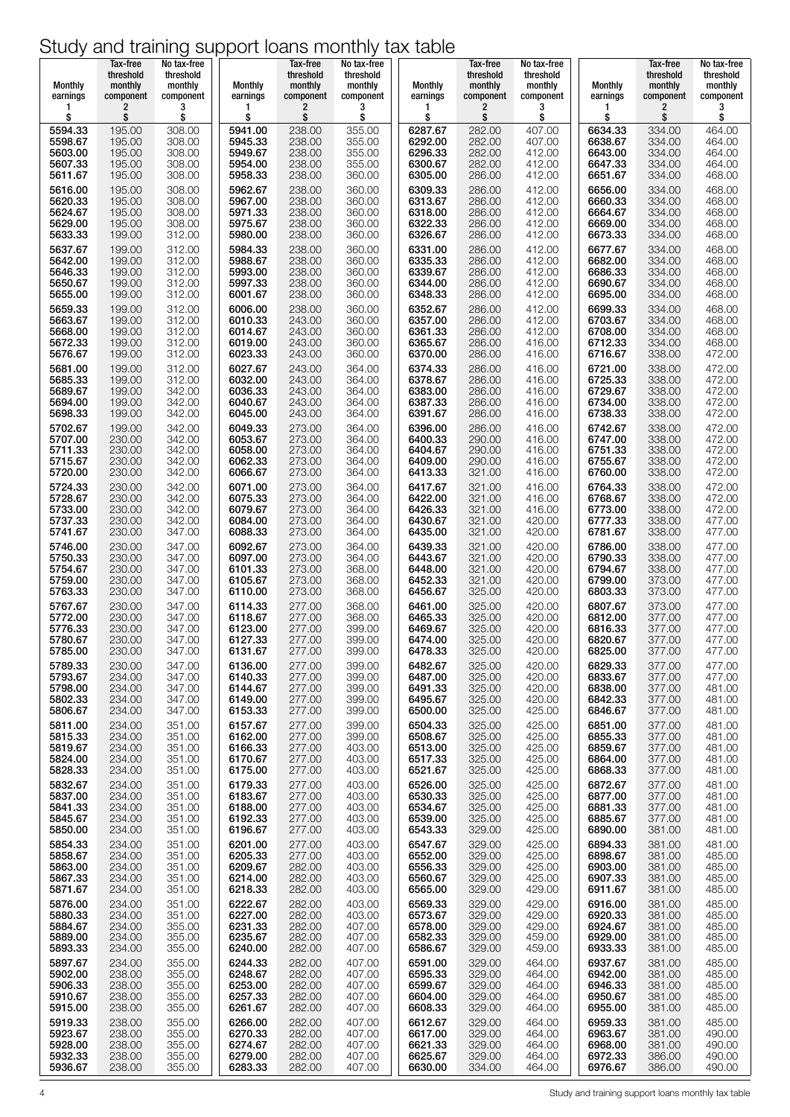| Monthly<br>earnings | Tax-free<br>threshold<br>monthly<br>component | No tax-free<br>threshold<br>monthly<br>component | <b>Monthly</b><br>earnings | Tax-free<br>threshold<br>monthly<br>component | No tax-free<br>threshold<br>monthly<br>component | Monthly<br>earnings | Tax-free<br>threshold<br>monthly<br>component | No tax-free<br>threshold<br>monthly<br>component | <b>Monthly</b><br>earnings | Tax-free<br>threshold<br>monthly<br>component | No tax-free<br>threshold<br>monthly<br>component |
|---------------------|-----------------------------------------------|--------------------------------------------------|----------------------------|-----------------------------------------------|--------------------------------------------------|---------------------|-----------------------------------------------|--------------------------------------------------|----------------------------|-----------------------------------------------|--------------------------------------------------|
| 1<br>\$             | $\overline{c}$<br>\$                          | 3<br>\$                                          | \$                         | 2<br>\$                                       | 3<br>\$                                          | 1<br>\$             | 2<br>\$                                       | 3<br>\$                                          | \$                         | 2<br>\$                                       | 3<br>\$                                          |
| 5594.33             | 195.00                                        | 308.00                                           | 5941.00                    | 238.00                                        | 355.00                                           | 6287.67             | 282.00                                        | 407.00                                           | 6634.33                    | 334.00                                        | 464.00                                           |
| 5598.67             | 195.00                                        | 308.00                                           | 5945.33                    | 238.00                                        | 355.00                                           | 6292.00             | 282.00                                        | 407.00                                           | 6638.67                    | 334.00                                        | 464.00                                           |
| 5603.00             | 195.00                                        | 308.00                                           | 5949.67                    | 238.00                                        | 355.00                                           | 6296.33             | 282.00                                        | 412.00                                           | 6643.00                    | 334.00                                        | 464.00                                           |
| 5607.33             | 195.00                                        | 308.00                                           | 5954.00                    | 238.00                                        | 355.00                                           | 6300.67             | 282.00                                        | 412.00                                           | 6647.33                    | 334.00                                        | 464.00                                           |
| 5611.67             | 195.00                                        | 308.00                                           | 5958.33                    | 238.00                                        | 360.00                                           | 6305.00             | 286.00                                        | 412.00                                           | 6651.67                    | 334.00                                        | 468.00                                           |
| 5616.00             | 195.00                                        | 308.00                                           | 5962.67                    | 238,00                                        | 360.00                                           | 6309.33             | 286,00                                        | 412.00                                           | 6656.00                    | 334.00                                        | 468.00                                           |
| 5620.33             | 195.00                                        | 308.00                                           | 5967.00                    | 238.00                                        | 360.00                                           | 6313.67             | 286,00                                        | 412.00                                           | 6660.33                    | 334.00                                        | 468.00                                           |
| 5624.67             | 195.00                                        | 308.00                                           | 5971.33                    | 238.00                                        | 360.00                                           | 6318.00             | 286.00                                        | 412.00                                           | 6664.67                    | 334.00                                        | 468.00                                           |
| 5629.00             | 195.00                                        | 308.00                                           | 5975.67                    | 238.00                                        | 360.00                                           | 6322.33             | 286.00                                        | 412.00                                           | 6669.00                    | 334.00                                        | 468.00                                           |
| 5633.33             | 199.00                                        | 312.00                                           | 5980.00                    | 238.00                                        | 360.00                                           | 6326.67             | 286.00                                        | 412.00                                           | 6673.33                    | 334.00                                        | 468.00                                           |
| 5637.67             | 199.00                                        | 312.00                                           | 5984.33                    | 238.00                                        | 360.00                                           | 6331.00             | 286.00                                        | 412.00                                           | 6677.67                    | 334.00                                        | 468.00                                           |
| 5642.00             | 199.00                                        | 312.00                                           | 5988.67                    | 238.00                                        | 360.00                                           | 6335.33             | 286.00                                        | 412.00                                           | 6682.00                    | 334.00                                        | 468.00                                           |
| 5646.33             | 199.00                                        | 312.00                                           | 5993.00                    | 238.00                                        | 360.00                                           | 6339.67             | 286.00                                        | 412.00                                           | 6686.33                    | 334.00                                        | 468.00                                           |
| 5650.67             | 199.00                                        | 312.00                                           | 5997.33                    | 238.00                                        | 360.00                                           | 6344.00             | 286.00                                        | 412.00                                           | 6690.67                    | 334.00                                        | 468.00                                           |
| 5655.00<br>5659.33  | 199.00                                        | 312.00<br>312.00                                 | 6001.67<br>6006.00         | 238.00<br>238.00                              | 360.00                                           | 6348.33<br>6352.67  | 286.00<br>286.00                              | 412.00<br>412.00                                 | 6695.00<br>6699.33         | 334.00<br>334.00                              | 468.00<br>468.00                                 |
| 5663.67             | 199.00<br>199.00                              | 312.00                                           | 6010.33                    | 243.00                                        | 360.00<br>360.00                                 | 6357.00             | 286.00                                        | 412.00                                           | 6703.67                    | 334.00                                        | 468.00                                           |
| 5668.00             | 199.00                                        | 312.00                                           | 6014.67                    | 243.00                                        | 360.00                                           | 6361.33             | 286.00                                        | 412.00                                           | 6708.00                    | 334.00                                        | 468.00                                           |
| 5672.33             | 199.00                                        | 312.00                                           | 6019.00                    | 243.00                                        | 360.00                                           | 6365.67             | 286.00                                        | 416.00                                           | 6712.33                    | 334.00                                        | 468.00                                           |
| 5676.67             | 199.00                                        | 312.00                                           | 6023.33                    | 243.00                                        | 360.00                                           | 6370.00             | 286.00                                        | 416.00                                           | 6716.67                    | 338.00                                        | 472.00                                           |
| 5681.00             | 199.00                                        | 312.00                                           | 6027.67                    | 243.00                                        | 364.00                                           | 6374.33             | 286.00                                        | 416.00                                           | 6721.00                    | 338.00                                        | 472.00                                           |
| 5685.33             | 199.00                                        | 312.00                                           | 6032.00                    | 243.00                                        | 364.00                                           | 6378.67             | 286.00                                        | 416.00                                           | 6725.33                    | 338.00                                        | 472.00                                           |
| 5689.67             | 199.00                                        | 342.00                                           | 6036.33                    | 243.00                                        | 364.00                                           | 6383.00             | 286.00                                        | 416.00                                           | 6729.67                    | 338.00                                        | 472.00                                           |
| 5694.00<br>5698.33  | 199.00                                        | 342.00<br>342.00                                 | 6040.67<br>6045.00         | 243.00<br>243.00                              | 364.00                                           | 6387.33<br>6391.67  | 286.00<br>286.00                              | 416.00<br>416.00                                 | 6734.00<br>6738.33         | 338.00<br>338.00                              | 472.00<br>472.00                                 |
| 5702.67             | 199.00<br>199.00                              | 342.00                                           | 6049.33                    | 273.00                                        | 364.00<br>364.00                                 | 6396.00             | 286.00                                        | 416.00                                           | 6742.67                    | 338.00                                        | 472.00                                           |
| 5707.00             | 230.00                                        | 342.00                                           | 6053.67                    | 273.00                                        | 364.00                                           | 6400.33             | 290.00                                        | 416.00                                           | 6747.00                    | 338.00                                        | 472.00                                           |
| 5711.33             | 230.00                                        | 342.00                                           | 6058.00                    | 273.00                                        | 364.00                                           | 6404.67             | 290.00                                        | 416.00                                           | 6751.33                    | 338.00                                        | 472.00                                           |
| 5715.67             | 230.00                                        | 342.00                                           | 6062.33                    | 273.00                                        | 364.00                                           | 6409.00             | 290.00                                        | 416.00                                           | 6755.67                    | 338.00                                        | 472.00                                           |
| 5720.00             | 230.00                                        | 342.00                                           | 6066.67                    | 273.00                                        | 364.00                                           | 6413.33             | 321.00                                        | 416.00                                           | 6760.00                    | 338.00                                        | 472.00                                           |
| 5724.33             | 230.00                                        | 342.00                                           | 6071.00                    | 273.00                                        | 364.00                                           | 6417.67             | 321.00                                        | 416.00                                           | 6764.33                    | 338.00                                        | 472.00                                           |
| 5728.67             | 230.00                                        | 342.00                                           | 6075.33                    | 273.00                                        | 364.00                                           | 6422.00             | 321.00                                        | 416.00                                           | 6768.67                    | 338.00                                        | 472.00                                           |
| 5733.00             | 230.00                                        | 342.00                                           | 6079.67                    | 273.00                                        | 364.00                                           | 6426.33             | 321.00                                        | 416.00                                           | 6773.00                    | 338.00                                        | 472.00                                           |
| 5737.33             | 230.00                                        | 342.00                                           | 6084.00                    | 273.00                                        | 364.00                                           | 6430.67             | 321.00                                        | 420.00                                           | 6777.33                    | 338.00                                        | 477.00                                           |
| 5741.67             | 230.00                                        | 347.00                                           | 6088.33                    | 273.00                                        | 364.00                                           | 6435.00             | 321.00                                        | 420.00                                           | 6781.67                    | 338.00                                        | 477.00                                           |
| 5746.00             | 230.00                                        | 347.00                                           | 6092.67                    | 273.00                                        | 364.00                                           | 6439.33             | 321.00                                        | 420.00                                           | 6786.00                    | 338.00                                        | 477.00                                           |
| 5750.33             | 230.00                                        | 347.00                                           | 6097.00                    | 273.00                                        | 364.00                                           | 6443.67             | 321.00                                        | 420.00                                           | 6790.33                    | 338.00                                        | 477.00                                           |
| 5754.67             | 230.00                                        | 347.00                                           | 6101.33                    | 273.00                                        | 368.00                                           | 6448.00             | 321.00                                        | 420.00                                           | 6794.67                    | 338.00                                        | 477.00                                           |
| 5759.00             | 230.00                                        | 347.00                                           | 6105.67                    | 273.00                                        | 368.00                                           | 6452.33             | 321.00                                        | 420.00                                           | 6799.00                    | 373.00                                        | 477.00                                           |
| 5763.33             | 230.00                                        | 347.00                                           | 6110.00                    | 273.00                                        | 368.00                                           | 6456.67             | 325.00                                        | 420.00                                           | 6803.33                    | 373.00                                        | 477.00                                           |
| 5767.67             | 230.00                                        | 347.00                                           | 6114.33                    | 277.00                                        | 368.00                                           | 6461.00             | 325.00                                        | 420.00                                           | 6807.67                    | 373.00                                        | 477.00                                           |
| 5772.00             | 230.00                                        | 347.00                                           | 6118.67                    | 277.00                                        | 368.00                                           | 6465.33             | 325.00                                        | 420.00                                           | 6812.00                    | 377.00                                        | 477.00                                           |
| 5776.33             | 230.00                                        | 347.00                                           | 6123.00                    | 277.00                                        | 399.00                                           | 6469.67             | 325.00                                        | 420.00                                           | 6816.33                    | 377.00                                        | 477.00                                           |
| 5780.67             | 230.00                                        | 347.00                                           | 6127.33                    | 277.00                                        | 399.00                                           | 6474.00             | 325.00                                        | 420.00                                           | 6820.67                    | 377.00                                        | 477.00                                           |
| 5785.00             | 230.00                                        | 347.00                                           | 6131.67                    | 277.00                                        | 399.00                                           | 6478.33             | 325.00                                        | 420.00                                           | 6825.00                    | 377.00                                        | 477.00                                           |
| 5789.33             | 230.00                                        | 347.00                                           | 6136.00                    | 277.00                                        | 399.00                                           | 6482.67             | 325.00                                        | 420.00                                           | 6829.33                    | 377.00                                        | 477.00                                           |
| 5793.67             | 234.00                                        | 347.00                                           | 6140.33                    | 277.00                                        | 399.00                                           | 6487.00             | 325.00                                        | 420.00                                           | 6833.67                    | 377.00                                        | 477.00                                           |
| 5798.00             | 234.00                                        | 347.00                                           | 6144.67                    | 277.00                                        | 399.00                                           | 6491.33             | 325.00                                        | 420.00                                           | 6838.00                    | 377.00                                        | 481.00                                           |
| 5802.33             | 234.00                                        | 347.00                                           | 6149.00                    | 277.00                                        | 399.00                                           | 6495.67             | 325.00                                        | 420.00                                           | 6842.33                    | 377.00                                        | 481.00                                           |
| 5806.67             | 234.00                                        | 347.00                                           | 6153.33                    | 277.00                                        | 399.00                                           | 6500.00             | 325.00                                        | 425.00                                           | 6846.67                    | 377.00                                        | 481.00                                           |
| 5811.00             | 234.00                                        | 351.00                                           | 6157.67                    | 277.00                                        | 399.00                                           | 6504.33             | 325.00                                        | 425.00                                           | 6851.00                    | 377.00                                        | 481.00                                           |
| 5815.33             | 234.00                                        | 351.00                                           | 6162.00                    | 277.00                                        | 399.00                                           | 6508.67             | 325.00                                        | 425.00                                           | 6855.33                    | 377.00                                        | 481.00                                           |
| 5819.67             | 234.00                                        | 351.00                                           | 6166.33                    | 277.00                                        | 403.00                                           | 6513.00             | 325.00                                        | 425.00                                           | 6859.67                    | 377.00                                        | 481.00                                           |
| 5824.00             | 234.00                                        | 351.00                                           | 6170.67                    | 277.00                                        | 403.00                                           | 6517.33             | 325.00                                        | 425.00                                           | 6864.00                    | 377.00                                        | 481.00                                           |
| 5828.33             | 234.00                                        | 351.00                                           | 6175.00                    | 277.00                                        | 403.00                                           | 6521.67             | 325.00                                        | 425.00                                           | 6868.33                    | 377.00                                        | 481.00                                           |
| 5832.67             | 234.00                                        | 351.00                                           | 6179.33                    | 277.00                                        | 403.00                                           | 6526.00             | 325.00                                        | 425.00                                           | 6872.67                    | 377.00                                        | 481.00                                           |
| 5837.00             | 234.00                                        | 351.00                                           | 6183.67                    | 277.00                                        | 403.00                                           | 6530.33             | 325.00                                        | 425.00                                           | 6877.00                    | 377.00                                        | 481.00                                           |
| 5841.33             | 234.00<br>234.00                              | 351.00                                           | 6188.00<br>6192.33         | 277.00                                        | 403.00<br>403.00                                 | 6534.67<br>6539.00  | 325.00<br>325.00                              | 425.00<br>425.00                                 | 6881.33                    | 377.00<br>377.00                              | 481.00<br>481.00                                 |
| 5845.67<br>5850.00  | 234.00                                        | 351.00<br>351.00                                 | 6196.67                    | 277.00<br>277.00                              | 403.00                                           | 6543.33             | 329.00                                        | 425.00                                           | 6885.67<br>6890.00         | 381.00                                        | 481.00                                           |
| 5854.33             | 234.00                                        | 351.00                                           | 6201.00                    | 277.00                                        | 403.00                                           | 6547.67             | 329.00                                        | 425.00                                           | 6894.33                    | 381.00                                        | 481.00                                           |
| 5858.67             | 234.00                                        | 351.00                                           | 6205.33                    | 277.00                                        | 403.00                                           | 6552.00             | 329.00                                        | 425.00                                           | 6898.67                    | 381.00                                        | 485.00                                           |
| 5863.00             | 234.00                                        | 351.00                                           | 6209.67                    | 282.00                                        | 403.00                                           | 6556.33             | 329.00                                        | 425.00                                           | 6903.00                    | 381.00                                        | 485.00                                           |
| 5867.33             | 234.00                                        | 351.00                                           | 6214.00                    | 282.00                                        | 403.00                                           | 6560.67             | 329.00                                        | 425.00                                           | 6907.33                    | 381.00                                        | 485.00                                           |
| 5871.67             | 234.00                                        | 351.00                                           | 6218.33                    | 282.00                                        | 403.00                                           | 6565.00             | 329.00                                        | 429.00                                           | 6911.67                    | 381.00                                        | 485.00                                           |
| 5876.00             | 234.00                                        | 351.00                                           | 6222.67                    | 282.00                                        | 403.00                                           | 6569.33             | 329.00                                        | 429.00                                           | 6916.00                    | 381.00                                        | 485.00                                           |
| 5880.33             | 234.00                                        | 351.00                                           | 6227.00                    | 282.00                                        | 403.00                                           | 6573.67             | 329.00                                        | 429.00                                           | 6920.33                    | 381.00                                        | 485.00                                           |
| 5884.67             | 234.00                                        | 355.00                                           | 6231.33                    | 282.00                                        | 407.00                                           | 6578.00             | 329.00                                        | 429.00                                           | 6924.67                    | 381.00                                        | 485.00                                           |
| 5889.00             | 234.00                                        | 355.00                                           | 6235.67                    | 282.00                                        | 407.00                                           | 6582.33             | 329.00                                        | 459.00                                           | 6929.00                    | 381.00                                        | 485.00                                           |
| 5893.33             | 234.00                                        | 355.00                                           | 6240.00                    | 282.00                                        | 407.00                                           | 6586.67             | 329.00                                        | 459.00                                           | 6933.33                    | 381.00                                        | 485.00                                           |
| 5897.67             | 234.00                                        | 355.00                                           | 6244.33                    | 282.00                                        | 407.00                                           | 6591.00             | 329.00                                        | 464.00                                           | 6937.67                    | 381.00                                        | 485.00                                           |
| 5902.00             | 238.00                                        | 355.00                                           | 6248.67                    | 282.00                                        | 407.00                                           | 6595.33             | 329.00                                        | 464.00                                           | 6942.00                    | 381.00                                        | 485.00                                           |
| 5906.33             | 238.00                                        | 355.00                                           | 6253.00                    | 282.00                                        | 407.00                                           | 6599.67             | 329.00                                        | 464.00                                           | 6946.33                    | 381.00                                        | 485.00                                           |
| 5910.67             | 238.00                                        | 355.00                                           | 6257.33                    | 282.00                                        | 407.00                                           | 6604.00             | 329.00                                        | 464.00                                           | 6950.67                    | 381.00                                        | 485.00                                           |
| 5915.00             | 238.00                                        | 355.00                                           | 6261.67                    | 282.00                                        | 407.00                                           | 6608.33             | 329.00                                        | 464.00                                           | 6955.00                    | 381.00                                        | 485.00                                           |
| 5919.33             | 238.00                                        | 355.00                                           | 6266.00                    | 282.00                                        | 407.00                                           | 6612.67             | 329.00                                        | 464.00                                           | 6959.33                    | 381.00                                        | 485.00                                           |
| 5923.67             | 238.00                                        | 355.00                                           | 6270.33                    | 282.00                                        | 407.00                                           | 6617.00             | 329.00                                        | 464.00                                           | 6963.67                    | 381.00                                        | 490.00                                           |
| 5928.00             | 238.00                                        | 355.00                                           | 6274.67                    | 282.00                                        | 407.00                                           | 6621.33             | 329.00                                        | 464.00                                           | 6968.00                    | 381.00                                        | 490.00                                           |
| 5932.33             | 238.00                                        | 355.00                                           | 6279.00                    | 282.00                                        | 407.00                                           | 6625.67             | 329.00                                        | 464.00                                           | 6972.33                    | 386.00                                        | 490.00                                           |
| 5936.67             | 238.00                                        | 355.00                                           | 6283.33                    | 282.00                                        | 407.00                                           | 6630.00             | 334.00                                        | 464.00                                           | 6976.67                    | 386.00                                        | 490.00                                           |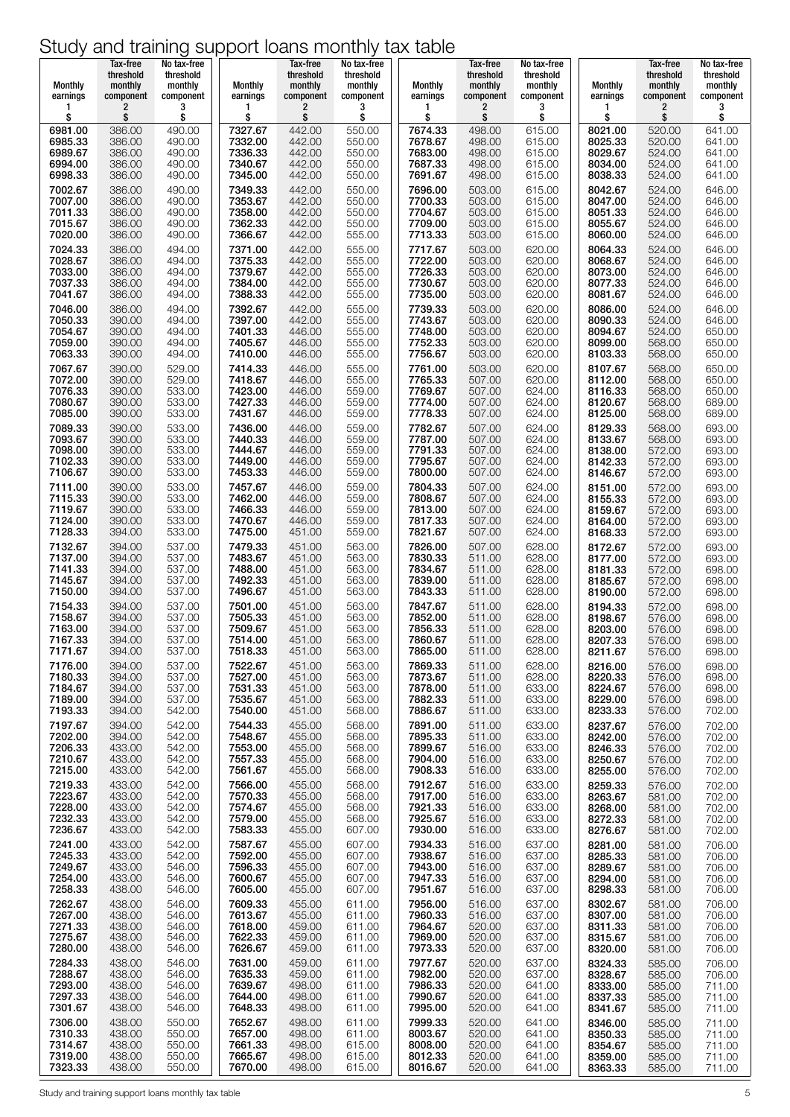| 2<br>2<br>2<br>3<br>2<br>3<br>3<br>1<br>1<br>1<br>1<br>\$<br>\$<br>\$<br>\$<br>\$<br>\$<br>\$<br>\$<br>\$<br>\$<br>\$<br>\$<br>7327.67<br>442.00<br>550.00<br>7674.33<br>615.00<br>6981.00<br>386.00<br>490.00<br>498.00<br>8021.00<br>520.00<br>641.00<br>7332.00<br>6985.33<br>386.00<br>490.00<br>442.00<br>550.00<br>7678.67<br>498.00<br>615.00<br>8025.33<br>520.00<br>641.00<br>7336.33<br>442.00<br>7683.00<br>8029.67<br>6989.67<br>386.00<br>490.00<br>550.00<br>498.00<br>615.00<br>524.00<br>641.00<br>6994.00<br>490.00<br>7340.67<br>442.00<br>7687.33<br>524.00<br>641.00<br>386.00<br>550.00<br>498.00<br>615.00<br>8034.00<br>6998.33<br>7345.00<br>442.00<br>8038.33<br>524.00<br>386.00<br>490.00<br>550.00<br>7691.67<br>498.00<br>615.00<br>641.00<br>7002.67<br>386.00<br>490.00<br>7349.33<br>442.00<br>550.00<br>7696.00<br>503.00<br>8042.67<br>524.00<br>646.00<br>615.00<br>7353.67<br>442.00<br>8047.00<br>646.00<br>7007.00<br>386.00<br>490.00<br>550.00<br>7700.33<br>503.00<br>615.00<br>524.00<br>7358.00<br>442.00<br>524.00<br>646.00<br>7011.33<br>386.00<br>490.00<br>550.00<br>7704.67<br>503.00<br>615.00<br>8051.33<br>7015.67<br>490.00<br>7362.33<br>442.00<br>7709.00<br>8055.67<br>524.00<br>646.00<br>386.00<br>550.00<br>503.00<br>615.00<br>7020.00<br>386.00<br>490.00<br>7366.67<br>442.00<br>555.00<br>7713.33<br>503.00<br>615.00<br>8060.00<br>524.00<br>646.00<br>7024.33<br>7371.00<br>7717.67<br>503.00<br>524.00<br>646.00<br>386.00<br>494.00<br>442.00<br>555.00<br>620.00<br>8064.33<br>7028.67<br>386.00<br>494.00<br>7375.33<br>442.00<br>555.00<br>7722.00<br>503.00<br>620.00<br>8068.67<br>524.00<br>646.00<br>7033.00<br>7379.67<br>442.00<br>7726.33<br>8073.00<br>524.00<br>646.00<br>386.00<br>494.00<br>555.00<br>503.00<br>620.00<br>7037.33<br>494.00<br>7384.00<br>442.00<br>555.00<br>620.00<br>524.00<br>646.00<br>386.00<br>7730.67<br>503.00<br>8077.33<br>442.00<br>524.00<br>646.00<br>7041.67<br>386.00<br>494.00<br>7388.33<br>555.00<br>7735.00<br>503.00<br>620.00<br>8081.67<br>7046.00<br>7392.67<br>442.00<br>7739.33<br>620.00<br>386.00<br>494.00<br>555.00<br>503.00<br>8086.00<br>524.00<br>646.00<br>7050.33<br>390.00<br>494.00<br>7397.00<br>442.00<br>555.00<br>7743.67<br>503.00<br>620.00<br>8090.33<br>524.00<br>646.00<br>7054.67<br>494.00<br>7401.33<br>446.00<br>7748.00<br>390.00<br>555.00<br>503.00<br>620.00<br>8094.67<br>524.00<br>650.00<br>7059.00<br>494.00<br>7405.67<br>446.00<br>7752.33<br>620.00<br>8099.00<br>568.00<br>650.00<br>390.00<br>555.00<br>503.00<br>7063.33<br>7410.00<br>446.00<br>7756.67<br>390.00<br>494.00<br>555.00<br>503.00<br>620.00<br>8103.33<br>568.00<br>650.00 | No tax-free<br>threshold<br>monthly<br>component<br>3 |
|-------------------------------------------------------------------------------------------------------------------------------------------------------------------------------------------------------------------------------------------------------------------------------------------------------------------------------------------------------------------------------------------------------------------------------------------------------------------------------------------------------------------------------------------------------------------------------------------------------------------------------------------------------------------------------------------------------------------------------------------------------------------------------------------------------------------------------------------------------------------------------------------------------------------------------------------------------------------------------------------------------------------------------------------------------------------------------------------------------------------------------------------------------------------------------------------------------------------------------------------------------------------------------------------------------------------------------------------------------------------------------------------------------------------------------------------------------------------------------------------------------------------------------------------------------------------------------------------------------------------------------------------------------------------------------------------------------------------------------------------------------------------------------------------------------------------------------------------------------------------------------------------------------------------------------------------------------------------------------------------------------------------------------------------------------------------------------------------------------------------------------------------------------------------------------------------------------------------------------------------------------------------------------------------------------------------------------------------------------------------------------------------------------------------------------------------------------------------------------------------------------------------------------------------------------------------------------------------------------------------------------------------------------------------------------------------------------------|-------------------------------------------------------|
|                                                                                                                                                                                                                                                                                                                                                                                                                                                                                                                                                                                                                                                                                                                                                                                                                                                                                                                                                                                                                                                                                                                                                                                                                                                                                                                                                                                                                                                                                                                                                                                                                                                                                                                                                                                                                                                                                                                                                                                                                                                                                                                                                                                                                                                                                                                                                                                                                                                                                                                                                                                                                                                                                                             |                                                       |
|                                                                                                                                                                                                                                                                                                                                                                                                                                                                                                                                                                                                                                                                                                                                                                                                                                                                                                                                                                                                                                                                                                                                                                                                                                                                                                                                                                                                                                                                                                                                                                                                                                                                                                                                                                                                                                                                                                                                                                                                                                                                                                                                                                                                                                                                                                                                                                                                                                                                                                                                                                                                                                                                                                             |                                                       |
|                                                                                                                                                                                                                                                                                                                                                                                                                                                                                                                                                                                                                                                                                                                                                                                                                                                                                                                                                                                                                                                                                                                                                                                                                                                                                                                                                                                                                                                                                                                                                                                                                                                                                                                                                                                                                                                                                                                                                                                                                                                                                                                                                                                                                                                                                                                                                                                                                                                                                                                                                                                                                                                                                                             |                                                       |
|                                                                                                                                                                                                                                                                                                                                                                                                                                                                                                                                                                                                                                                                                                                                                                                                                                                                                                                                                                                                                                                                                                                                                                                                                                                                                                                                                                                                                                                                                                                                                                                                                                                                                                                                                                                                                                                                                                                                                                                                                                                                                                                                                                                                                                                                                                                                                                                                                                                                                                                                                                                                                                                                                                             |                                                       |
|                                                                                                                                                                                                                                                                                                                                                                                                                                                                                                                                                                                                                                                                                                                                                                                                                                                                                                                                                                                                                                                                                                                                                                                                                                                                                                                                                                                                                                                                                                                                                                                                                                                                                                                                                                                                                                                                                                                                                                                                                                                                                                                                                                                                                                                                                                                                                                                                                                                                                                                                                                                                                                                                                                             |                                                       |
|                                                                                                                                                                                                                                                                                                                                                                                                                                                                                                                                                                                                                                                                                                                                                                                                                                                                                                                                                                                                                                                                                                                                                                                                                                                                                                                                                                                                                                                                                                                                                                                                                                                                                                                                                                                                                                                                                                                                                                                                                                                                                                                                                                                                                                                                                                                                                                                                                                                                                                                                                                                                                                                                                                             |                                                       |
|                                                                                                                                                                                                                                                                                                                                                                                                                                                                                                                                                                                                                                                                                                                                                                                                                                                                                                                                                                                                                                                                                                                                                                                                                                                                                                                                                                                                                                                                                                                                                                                                                                                                                                                                                                                                                                                                                                                                                                                                                                                                                                                                                                                                                                                                                                                                                                                                                                                                                                                                                                                                                                                                                                             |                                                       |
|                                                                                                                                                                                                                                                                                                                                                                                                                                                                                                                                                                                                                                                                                                                                                                                                                                                                                                                                                                                                                                                                                                                                                                                                                                                                                                                                                                                                                                                                                                                                                                                                                                                                                                                                                                                                                                                                                                                                                                                                                                                                                                                                                                                                                                                                                                                                                                                                                                                                                                                                                                                                                                                                                                             |                                                       |
|                                                                                                                                                                                                                                                                                                                                                                                                                                                                                                                                                                                                                                                                                                                                                                                                                                                                                                                                                                                                                                                                                                                                                                                                                                                                                                                                                                                                                                                                                                                                                                                                                                                                                                                                                                                                                                                                                                                                                                                                                                                                                                                                                                                                                                                                                                                                                                                                                                                                                                                                                                                                                                                                                                             |                                                       |
|                                                                                                                                                                                                                                                                                                                                                                                                                                                                                                                                                                                                                                                                                                                                                                                                                                                                                                                                                                                                                                                                                                                                                                                                                                                                                                                                                                                                                                                                                                                                                                                                                                                                                                                                                                                                                                                                                                                                                                                                                                                                                                                                                                                                                                                                                                                                                                                                                                                                                                                                                                                                                                                                                                             |                                                       |
|                                                                                                                                                                                                                                                                                                                                                                                                                                                                                                                                                                                                                                                                                                                                                                                                                                                                                                                                                                                                                                                                                                                                                                                                                                                                                                                                                                                                                                                                                                                                                                                                                                                                                                                                                                                                                                                                                                                                                                                                                                                                                                                                                                                                                                                                                                                                                                                                                                                                                                                                                                                                                                                                                                             |                                                       |
|                                                                                                                                                                                                                                                                                                                                                                                                                                                                                                                                                                                                                                                                                                                                                                                                                                                                                                                                                                                                                                                                                                                                                                                                                                                                                                                                                                                                                                                                                                                                                                                                                                                                                                                                                                                                                                                                                                                                                                                                                                                                                                                                                                                                                                                                                                                                                                                                                                                                                                                                                                                                                                                                                                             |                                                       |
| 7067.67<br>390.00<br>529.00<br>7414.33<br>446.00<br>555.00<br>7761.00<br>503.00<br>620.00<br>8107.67<br>568.00<br>650.00                                                                                                                                                                                                                                                                                                                                                                                                                                                                                                                                                                                                                                                                                                                                                                                                                                                                                                                                                                                                                                                                                                                                                                                                                                                                                                                                                                                                                                                                                                                                                                                                                                                                                                                                                                                                                                                                                                                                                                                                                                                                                                                                                                                                                                                                                                                                                                                                                                                                                                                                                                                    |                                                       |
| 529.00<br>7418.67<br>446.00<br>7072.00<br>390.00<br>555.00<br>7765.33<br>507.00<br>620.00<br>8112.00<br>568.00<br>650.00<br>7769.67<br>7076.33<br>390.00<br>533.00<br>7423.00<br>446.00<br>559.00<br>507.00<br>624.00<br>8116.33<br>568.00<br>650.00                                                                                                                                                                                                                                                                                                                                                                                                                                                                                                                                                                                                                                                                                                                                                                                                                                                                                                                                                                                                                                                                                                                                                                                                                                                                                                                                                                                                                                                                                                                                                                                                                                                                                                                                                                                                                                                                                                                                                                                                                                                                                                                                                                                                                                                                                                                                                                                                                                                        |                                                       |
| 7080.67<br>390.00<br>533.00<br>7427.33<br>446.00<br>559.00<br>7774.00<br>624.00<br>507.00<br>8120.67<br>568.00<br>689.00<br>7085.00<br>533.00<br>7431.67<br>7778.33<br>8125.00<br>689.00<br>390.00<br>446.00<br>559.00<br>507.00<br>624.00<br>568.00                                                                                                                                                                                                                                                                                                                                                                                                                                                                                                                                                                                                                                                                                                                                                                                                                                                                                                                                                                                                                                                                                                                                                                                                                                                                                                                                                                                                                                                                                                                                                                                                                                                                                                                                                                                                                                                                                                                                                                                                                                                                                                                                                                                                                                                                                                                                                                                                                                                        |                                                       |
| 7089.33<br>390.00<br>533.00<br>7436.00<br>446.00<br>559.00<br>7782.67<br>624.00<br>8129.33<br>568.00<br>693.00<br>507.00                                                                                                                                                                                                                                                                                                                                                                                                                                                                                                                                                                                                                                                                                                                                                                                                                                                                                                                                                                                                                                                                                                                                                                                                                                                                                                                                                                                                                                                                                                                                                                                                                                                                                                                                                                                                                                                                                                                                                                                                                                                                                                                                                                                                                                                                                                                                                                                                                                                                                                                                                                                    |                                                       |
| 7093.67<br>533.00<br>7440.33<br>7787.00<br>390.00<br>446.00<br>559.00<br>507.00<br>624.00<br>8133.67<br>568.00<br>693.00<br>7098.00<br>533.00<br>7444.67<br>446.00<br>559.00<br>7791.33<br>624.00<br>390.00<br>507.00<br>8138.00<br>693.00<br>572.00                                                                                                                                                                                                                                                                                                                                                                                                                                                                                                                                                                                                                                                                                                                                                                                                                                                                                                                                                                                                                                                                                                                                                                                                                                                                                                                                                                                                                                                                                                                                                                                                                                                                                                                                                                                                                                                                                                                                                                                                                                                                                                                                                                                                                                                                                                                                                                                                                                                        |                                                       |
| 7449.00<br>7102.33<br>390.00<br>533.00<br>446.00<br>559.00<br>7795.67<br>624.00<br>8142.33<br>572.00<br>693.00<br>507.00<br>7453.33<br>7106.67<br>533.00<br>7800.00<br>390.00<br>446.00<br>559.00<br>507.00<br>624.00<br>8146.67<br>572.00<br>693.00                                                                                                                                                                                                                                                                                                                                                                                                                                                                                                                                                                                                                                                                                                                                                                                                                                                                                                                                                                                                                                                                                                                                                                                                                                                                                                                                                                                                                                                                                                                                                                                                                                                                                                                                                                                                                                                                                                                                                                                                                                                                                                                                                                                                                                                                                                                                                                                                                                                        |                                                       |
| 533.00<br>7457.67<br>7111.00<br>390.00<br>446.00<br>559.00<br>7804.33<br>507.00<br>624.00<br>572.00<br>693.00<br>8151.00<br>7115.33<br>533.00<br>7462.00<br>446.00<br>559.00<br>7808.67<br>624.00<br>572.00<br>693.00<br>390.00<br>507.00<br>8155.33                                                                                                                                                                                                                                                                                                                                                                                                                                                                                                                                                                                                                                                                                                                                                                                                                                                                                                                                                                                                                                                                                                                                                                                                                                                                                                                                                                                                                                                                                                                                                                                                                                                                                                                                                                                                                                                                                                                                                                                                                                                                                                                                                                                                                                                                                                                                                                                                                                                        |                                                       |
| 533.00<br>7119.67<br>7466.33<br>446.00<br>559.00<br>7813.00<br>624.00<br>390.00<br>507.00<br>8159.67<br>572.00<br>693.00                                                                                                                                                                                                                                                                                                                                                                                                                                                                                                                                                                                                                                                                                                                                                                                                                                                                                                                                                                                                                                                                                                                                                                                                                                                                                                                                                                                                                                                                                                                                                                                                                                                                                                                                                                                                                                                                                                                                                                                                                                                                                                                                                                                                                                                                                                                                                                                                                                                                                                                                                                                    |                                                       |
| 7124.00<br>533.00<br>7470.67<br>446.00<br>7817.33<br>390.00<br>559.00<br>507.00<br>624.00<br>8164.00<br>572.00<br>693.00<br>7128.33<br>533.00<br>7475.00<br>451.00<br>559.00<br>7821.67<br>8168.33<br>572.00<br>693.00<br>394.00<br>507.00<br>624.00                                                                                                                                                                                                                                                                                                                                                                                                                                                                                                                                                                                                                                                                                                                                                                                                                                                                                                                                                                                                                                                                                                                                                                                                                                                                                                                                                                                                                                                                                                                                                                                                                                                                                                                                                                                                                                                                                                                                                                                                                                                                                                                                                                                                                                                                                                                                                                                                                                                        |                                                       |
| 537.00<br>7479.33<br>7132.67<br>394.00<br>451.00<br>563.00<br>7826.00<br>507.00<br>628.00<br>8172.67<br>572.00<br>693.00<br>537.00<br>7483.67<br>7830.33<br>7137.00<br>394.00<br>451.00<br>563.00<br>511.00<br>628.00<br>572.00<br>693.00<br>8177.00                                                                                                                                                                                                                                                                                                                                                                                                                                                                                                                                                                                                                                                                                                                                                                                                                                                                                                                                                                                                                                                                                                                                                                                                                                                                                                                                                                                                                                                                                                                                                                                                                                                                                                                                                                                                                                                                                                                                                                                                                                                                                                                                                                                                                                                                                                                                                                                                                                                        |                                                       |
| 7488.00<br>7141.33<br>537.00<br>451.00<br>563.00<br>7834.67<br>628.00<br>8181.33<br>572.00<br>698.00<br>394.00<br>511.00<br>537.00<br>7492.33<br>7839.00<br>7145.67<br>394.00<br>451.00<br>563.00<br>511.00<br>628.00<br>8185.67<br>572.00<br>698.00                                                                                                                                                                                                                                                                                                                                                                                                                                                                                                                                                                                                                                                                                                                                                                                                                                                                                                                                                                                                                                                                                                                                                                                                                                                                                                                                                                                                                                                                                                                                                                                                                                                                                                                                                                                                                                                                                                                                                                                                                                                                                                                                                                                                                                                                                                                                                                                                                                                        |                                                       |
| 7496.67<br>7150.00<br>537.00<br>451.00<br>563.00<br>7843.33<br>628.00<br>394.00<br>511.00<br>8190.00<br>572.00<br>698.00                                                                                                                                                                                                                                                                                                                                                                                                                                                                                                                                                                                                                                                                                                                                                                                                                                                                                                                                                                                                                                                                                                                                                                                                                                                                                                                                                                                                                                                                                                                                                                                                                                                                                                                                                                                                                                                                                                                                                                                                                                                                                                                                                                                                                                                                                                                                                                                                                                                                                                                                                                                    |                                                       |
| 7154.33<br>394.00<br>537.00<br>7501.00<br>451.00<br>563.00<br>7847.67<br>628.00<br>572.00<br>511.00<br>8194.33<br>698.00<br>7158.67<br>394.00<br>7505.33<br>451.00<br>7852.00<br>628.00<br>8198.67<br>576.00<br>698.00<br>537.00<br>563.00<br>511.00                                                                                                                                                                                                                                                                                                                                                                                                                                                                                                                                                                                                                                                                                                                                                                                                                                                                                                                                                                                                                                                                                                                                                                                                                                                                                                                                                                                                                                                                                                                                                                                                                                                                                                                                                                                                                                                                                                                                                                                                                                                                                                                                                                                                                                                                                                                                                                                                                                                        |                                                       |
| 7163.00<br>394.00<br>537.00<br>7509.67<br>7856.33<br>511.00<br>628.00<br>451.00<br>563.00<br>8203.00<br>698.00<br>576.00<br>7167.33<br>7860.67<br>394.00<br>537.00<br>7514.00<br>451.00<br>563.00<br>511.00<br>628.00<br>8207.33<br>576.00<br>698.00                                                                                                                                                                                                                                                                                                                                                                                                                                                                                                                                                                                                                                                                                                                                                                                                                                                                                                                                                                                                                                                                                                                                                                                                                                                                                                                                                                                                                                                                                                                                                                                                                                                                                                                                                                                                                                                                                                                                                                                                                                                                                                                                                                                                                                                                                                                                                                                                                                                        |                                                       |
| 7518.33<br>563.00<br>7865.00<br>628.00<br>7171.67<br>394.00<br>537.00<br>451.00<br>511.00<br>8211.67<br>576.00<br>698.00<br>7176.00<br>394.00<br>537.00<br>7522.67<br>563.00<br>7869.33<br>628.00<br>451.00<br>511.00<br>8216.00<br>576.00<br>698.00                                                                                                                                                                                                                                                                                                                                                                                                                                                                                                                                                                                                                                                                                                                                                                                                                                                                                                                                                                                                                                                                                                                                                                                                                                                                                                                                                                                                                                                                                                                                                                                                                                                                                                                                                                                                                                                                                                                                                                                                                                                                                                                                                                                                                                                                                                                                                                                                                                                        |                                                       |
| 7527.00<br>7873.67<br>7180.33<br>394.00<br>537.00<br>451.00<br>563.00<br>628.00<br>698.00<br>511.00<br>8220.33<br>576.00<br>7184.67<br>7531.33<br>7878.00<br>8224.67<br>698.00<br>394.00<br>537.00<br>451.00<br>563.00<br>511.00<br>633.00<br>576.00                                                                                                                                                                                                                                                                                                                                                                                                                                                                                                                                                                                                                                                                                                                                                                                                                                                                                                                                                                                                                                                                                                                                                                                                                                                                                                                                                                                                                                                                                                                                                                                                                                                                                                                                                                                                                                                                                                                                                                                                                                                                                                                                                                                                                                                                                                                                                                                                                                                        |                                                       |
| 7189.00<br>537.00<br>7535.67<br>7882.33<br>633.00<br>394.00<br>451.00<br>563.00<br>511.00<br>8229.00<br>698.00<br>576.00<br>7193.33                                                                                                                                                                                                                                                                                                                                                                                                                                                                                                                                                                                                                                                                                                                                                                                                                                                                                                                                                                                                                                                                                                                                                                                                                                                                                                                                                                                                                                                                                                                                                                                                                                                                                                                                                                                                                                                                                                                                                                                                                                                                                                                                                                                                                                                                                                                                                                                                                                                                                                                                                                         |                                                       |
| 7540.00<br>568.00<br>8233.33<br>576.00<br>702.00<br>394.00<br>542.00<br>451.00<br>7886.67<br>511.00<br>633.00<br>7197.67<br>394.00<br>542.00<br>7544.33<br>455.00<br>568.00<br>633.00<br>702.00<br>7891.00<br>511.00<br>8237.67<br>576.00                                                                                                                                                                                                                                                                                                                                                                                                                                                                                                                                                                                                                                                                                                                                                                                                                                                                                                                                                                                                                                                                                                                                                                                                                                                                                                                                                                                                                                                                                                                                                                                                                                                                                                                                                                                                                                                                                                                                                                                                                                                                                                                                                                                                                                                                                                                                                                                                                                                                   |                                                       |
| 7202.00<br>7548.67<br>455.00<br>568.00<br>7895.33<br>633.00<br>394.00<br>542.00<br>511.00<br>8242.00<br>702.00<br>576.00<br>7553.00<br>455.00<br>7206.33<br>433.00<br>542.00<br>568.00<br>7899.67<br>516.00<br>633.00<br>8246.33<br>702.00<br>576.00                                                                                                                                                                                                                                                                                                                                                                                                                                                                                                                                                                                                                                                                                                                                                                                                                                                                                                                                                                                                                                                                                                                                                                                                                                                                                                                                                                                                                                                                                                                                                                                                                                                                                                                                                                                                                                                                                                                                                                                                                                                                                                                                                                                                                                                                                                                                                                                                                                                        |                                                       |
| 7557.33<br>455.00<br>568.00<br>7904.00<br>633.00<br>7210.67<br>433.00<br>542.00<br>516.00<br>8250.67<br>576.00<br>702.00<br>7215.00<br>433.00<br>542.00<br>7561.67<br>455.00<br>568.00<br>7908.33<br>516.00<br>633.00<br>8255.00<br>576.00<br>702.00                                                                                                                                                                                                                                                                                                                                                                                                                                                                                                                                                                                                                                                                                                                                                                                                                                                                                                                                                                                                                                                                                                                                                                                                                                                                                                                                                                                                                                                                                                                                                                                                                                                                                                                                                                                                                                                                                                                                                                                                                                                                                                                                                                                                                                                                                                                                                                                                                                                        |                                                       |
| 7219.33<br>433.00<br>542.00<br>7566.00<br>455.00<br>568.00<br>7912.67<br>516.00<br>633.00<br>8259.33<br>576.00<br>702.00                                                                                                                                                                                                                                                                                                                                                                                                                                                                                                                                                                                                                                                                                                                                                                                                                                                                                                                                                                                                                                                                                                                                                                                                                                                                                                                                                                                                                                                                                                                                                                                                                                                                                                                                                                                                                                                                                                                                                                                                                                                                                                                                                                                                                                                                                                                                                                                                                                                                                                                                                                                    |                                                       |
| 7223.67<br>542.00<br>7570.33<br>455.00<br>568.00<br>7917.00<br>433.00<br>516.00<br>633.00<br>8263.67<br>702.00<br>581.00<br>7574.67<br>7228.00<br>455.00<br>7921.33<br>702.00<br>433.00<br>542.00<br>568.00<br>516.00<br>633.00<br>8268.00<br>581.00                                                                                                                                                                                                                                                                                                                                                                                                                                                                                                                                                                                                                                                                                                                                                                                                                                                                                                                                                                                                                                                                                                                                                                                                                                                                                                                                                                                                                                                                                                                                                                                                                                                                                                                                                                                                                                                                                                                                                                                                                                                                                                                                                                                                                                                                                                                                                                                                                                                        |                                                       |
| 7232.33<br>7579.00<br>455.00<br>568.00<br>7925.67<br>633.00<br>433.00<br>542.00<br>516.00<br>702.00<br>8272.33<br>581.00<br>7236.67<br>7583.33<br>433.00<br>542.00<br>455.00<br>607.00<br>7930.00<br>516.00<br>633.00<br>8276.67<br>581.00<br>702.00                                                                                                                                                                                                                                                                                                                                                                                                                                                                                                                                                                                                                                                                                                                                                                                                                                                                                                                                                                                                                                                                                                                                                                                                                                                                                                                                                                                                                                                                                                                                                                                                                                                                                                                                                                                                                                                                                                                                                                                                                                                                                                                                                                                                                                                                                                                                                                                                                                                        |                                                       |
| 7241.00<br>433.00<br>542.00<br>7587.67<br>455.00<br>607.00<br>7934.33<br>637.00<br>516.00<br>8281.00<br>581.00<br>706.00<br>7592.00<br>7938.67<br>7245.33<br>433.00<br>542.00<br>455.00<br>607.00<br>516.00<br>637.00<br>8285.33<br>581.00<br>706.00                                                                                                                                                                                                                                                                                                                                                                                                                                                                                                                                                                                                                                                                                                                                                                                                                                                                                                                                                                                                                                                                                                                                                                                                                                                                                                                                                                                                                                                                                                                                                                                                                                                                                                                                                                                                                                                                                                                                                                                                                                                                                                                                                                                                                                                                                                                                                                                                                                                        |                                                       |
| 7596.33<br>455.00<br>7249.67<br>433.00<br>546.00<br>7943.00<br>637.00<br>8289.67<br>706.00<br>607.00<br>516.00<br>581.00<br>7254.00<br>7600.67<br>455.00<br>607.00<br>7947.33<br>637.00<br>433.00<br>546.00<br>516.00<br>8294.00<br>581.00<br>706.00                                                                                                                                                                                                                                                                                                                                                                                                                                                                                                                                                                                                                                                                                                                                                                                                                                                                                                                                                                                                                                                                                                                                                                                                                                                                                                                                                                                                                                                                                                                                                                                                                                                                                                                                                                                                                                                                                                                                                                                                                                                                                                                                                                                                                                                                                                                                                                                                                                                        |                                                       |
| 7605.00<br>7258.33<br>438.00<br>546.00<br>455.00<br>607.00<br>7951.67<br>516.00<br>637.00<br>8298.33<br>581.00<br>706.00                                                                                                                                                                                                                                                                                                                                                                                                                                                                                                                                                                                                                                                                                                                                                                                                                                                                                                                                                                                                                                                                                                                                                                                                                                                                                                                                                                                                                                                                                                                                                                                                                                                                                                                                                                                                                                                                                                                                                                                                                                                                                                                                                                                                                                                                                                                                                                                                                                                                                                                                                                                    |                                                       |
| 7262.67<br>7609.33<br>7956.00<br>438.00<br>546.00<br>455.00<br>611.00<br>516.00<br>637.00<br>8302.67<br>581.00<br>706.00<br>7267.00<br>546.00<br>7613.67<br>455.00<br>7960.33<br>438.00<br>611.00<br>516.00<br>637.00<br>706.00<br>8307.00<br>581.00                                                                                                                                                                                                                                                                                                                                                                                                                                                                                                                                                                                                                                                                                                                                                                                                                                                                                                                                                                                                                                                                                                                                                                                                                                                                                                                                                                                                                                                                                                                                                                                                                                                                                                                                                                                                                                                                                                                                                                                                                                                                                                                                                                                                                                                                                                                                                                                                                                                        |                                                       |
| 7271.33<br>7618.00<br>459.00<br>611.00<br>7964.67<br>438.00<br>546.00<br>520.00<br>637.00<br>706.00<br>8311.33<br>581.00<br>7275.67<br>7622.33<br>459.00<br>7969.00<br>438.00<br>546.00<br>611.00<br>520.00<br>637.00<br>8315.67<br>581.00<br>706.00                                                                                                                                                                                                                                                                                                                                                                                                                                                                                                                                                                                                                                                                                                                                                                                                                                                                                                                                                                                                                                                                                                                                                                                                                                                                                                                                                                                                                                                                                                                                                                                                                                                                                                                                                                                                                                                                                                                                                                                                                                                                                                                                                                                                                                                                                                                                                                                                                                                        |                                                       |
| 7280.00<br>438.00<br>7626.67<br>459.00<br>7973.33<br>8320.00<br>581.00<br>706.00<br>546.00<br>611.00<br>520.00<br>637.00<br>7284.33<br>438.00<br>546.00<br>459.00                                                                                                                                                                                                                                                                                                                                                                                                                                                                                                                                                                                                                                                                                                                                                                                                                                                                                                                                                                                                                                                                                                                                                                                                                                                                                                                                                                                                                                                                                                                                                                                                                                                                                                                                                                                                                                                                                                                                                                                                                                                                                                                                                                                                                                                                                                                                                                                                                                                                                                                                           |                                                       |
| 7631.00<br>7977.67<br>520.00<br>637.00<br>8324.33<br>706.00<br>611.00<br>585.00<br>7635.33<br>7288.67<br>459.00<br>438.00<br>546.00<br>611.00<br>7982.00<br>520.00<br>637.00<br>8328.67<br>585.00<br>706.00                                                                                                                                                                                                                                                                                                                                                                                                                                                                                                                                                                                                                                                                                                                                                                                                                                                                                                                                                                                                                                                                                                                                                                                                                                                                                                                                                                                                                                                                                                                                                                                                                                                                                                                                                                                                                                                                                                                                                                                                                                                                                                                                                                                                                                                                                                                                                                                                                                                                                                 |                                                       |
| 7639.67<br>7293.00<br>438.00<br>498.00<br>611.00<br>7986.33<br>520.00<br>711.00<br>546.00<br>641.00<br>8333.00<br>585.00<br>7644.00<br>7297.33<br>438.00<br>546.00<br>498.00<br>611.00<br>7990.67<br>520.00<br>641.00<br>585.00<br>8337.33<br>711.00                                                                                                                                                                                                                                                                                                                                                                                                                                                                                                                                                                                                                                                                                                                                                                                                                                                                                                                                                                                                                                                                                                                                                                                                                                                                                                                                                                                                                                                                                                                                                                                                                                                                                                                                                                                                                                                                                                                                                                                                                                                                                                                                                                                                                                                                                                                                                                                                                                                        |                                                       |
| 7301.67<br>7648.33<br>7995.00<br>438.00<br>546.00<br>498.00<br>611.00<br>520.00<br>641.00<br>8341.67<br>585.00<br>711.00<br>7306.00<br>438.00<br>550.00<br>7652.67<br>498.00<br>611.00<br>7999.33<br>520.00<br>711.00<br>641.00<br>8346.00<br>585.00                                                                                                                                                                                                                                                                                                                                                                                                                                                                                                                                                                                                                                                                                                                                                                                                                                                                                                                                                                                                                                                                                                                                                                                                                                                                                                                                                                                                                                                                                                                                                                                                                                                                                                                                                                                                                                                                                                                                                                                                                                                                                                                                                                                                                                                                                                                                                                                                                                                        |                                                       |
| 7657.00<br>498.00<br>7310.33<br>438.00<br>550.00<br>611.00<br>8003.67<br>520.00<br>641.00<br>8350.33<br>585.00<br>711.00<br>7314.67<br>7661.33<br>498.00<br>615.00<br>8008.00<br>520.00<br>438.00<br>550.00<br>641.00<br>585.00<br>711.00<br>8354.67                                                                                                                                                                                                                                                                                                                                                                                                                                                                                                                                                                                                                                                                                                                                                                                                                                                                                                                                                                                                                                                                                                                                                                                                                                                                                                                                                                                                                                                                                                                                                                                                                                                                                                                                                                                                                                                                                                                                                                                                                                                                                                                                                                                                                                                                                                                                                                                                                                                        |                                                       |
| 7319.00<br>7665.67<br>498.00<br>438.00<br>550.00<br>615.00<br>8012.33<br>520.00<br>641.00<br>8359.00<br>585.00<br>711.00<br>7323.33<br>438.00<br>550.00<br>7670.00<br>498.00<br>615.00<br>8016.67<br>520.00<br>641.00<br>8363.33<br>585.00<br>711.00                                                                                                                                                                                                                                                                                                                                                                                                                                                                                                                                                                                                                                                                                                                                                                                                                                                                                                                                                                                                                                                                                                                                                                                                                                                                                                                                                                                                                                                                                                                                                                                                                                                                                                                                                                                                                                                                                                                                                                                                                                                                                                                                                                                                                                                                                                                                                                                                                                                        |                                                       |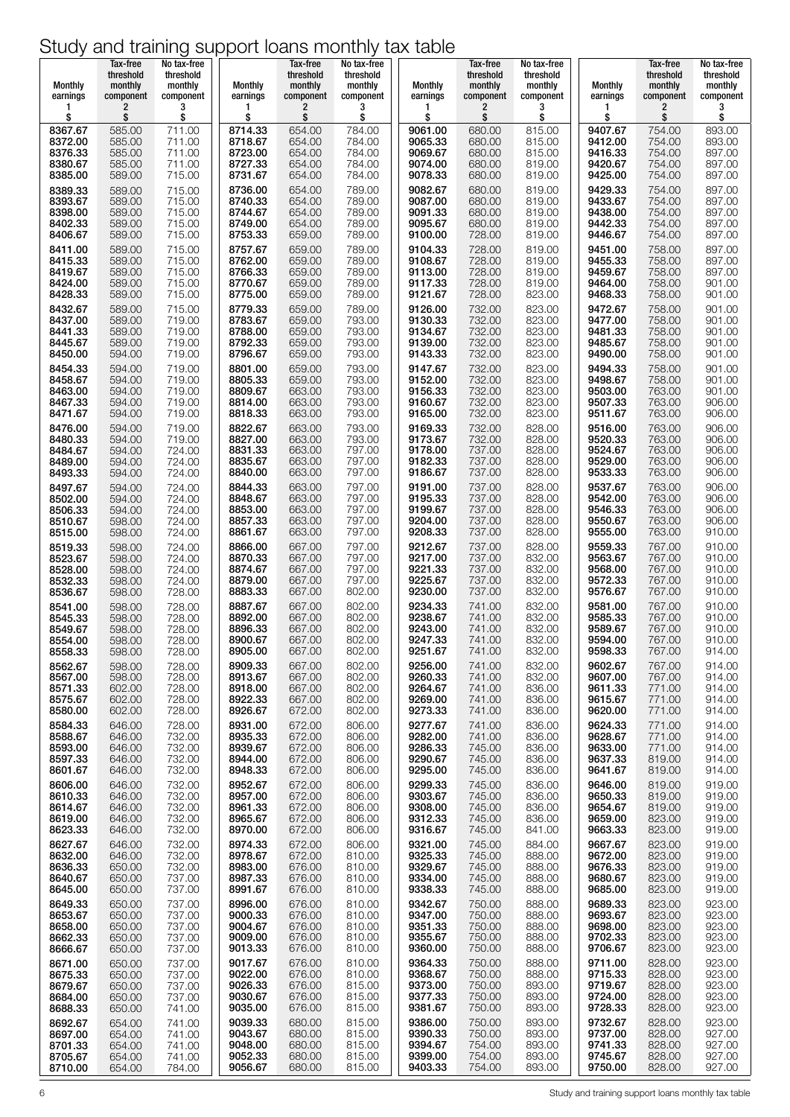| Monthly<br><b>Monthly</b><br>Monthly<br><b>Monthly</b><br>monthly<br>monthly<br>monthly<br>monthly<br>monthly<br>monthly<br>monthly<br>earnings<br>component<br>component<br>earnings<br>component<br>component<br>earnings<br>component<br>component<br>earnings<br>component<br>2<br>3<br>2<br>3<br>2<br>3<br>2<br>1<br>1<br>1<br>\$<br>\$<br>\$<br>\$<br>\$<br>\$<br>\$<br>\$<br>\$<br>\$<br>\$<br>8367.67<br>585.00<br>711.00<br>8714.33<br>654.00<br>784.00<br>9061.00<br>680.00<br>815.00<br>9407.67<br>754.00<br>8372.00<br>585.00<br>711.00<br>8718.67<br>654.00<br>784.00<br>9065.33<br>9412.00<br>754.00<br>680.00<br>815.00<br>8376.33<br>585.00<br>711.00<br>8723.00<br>654.00<br>784.00<br>9069.67<br>680.00<br>815.00<br>9416.33<br>754.00<br>8380.67<br>585.00<br>8727.33<br>654.00<br>784.00<br>9074.00<br>819.00<br>9420.67<br>754.00<br>711.00<br>680.00<br>9425.00<br>8385.00<br>589.00<br>715.00<br>8731.67<br>654.00<br>784.00<br>9078.33<br>680.00<br>819.00<br>754.00<br>8736.00<br>9082.67<br>9429.33<br>8389.33<br>589.00<br>715.00<br>654.00<br>789.00<br>680.00<br>819.00<br>754.00<br>8393.67<br>589.00<br>715.00<br>8740.33<br>654.00<br>789.00<br>9087.00<br>680.00<br>819.00<br>9433.67<br>754.00<br>8744.67<br>9438.00<br>754.00<br>654.00<br>789.00<br>9091.33<br>680.00<br>819.00<br>8398.00<br>589.00<br>715.00<br>8749.00<br>789.00<br>9095.67<br>9442.33<br>754.00<br>654.00<br>680.00<br>819.00<br>8402.33<br>589.00<br>715.00<br>8406.67<br>8753.33<br>9446.67<br>589.00<br>715.00<br>659.00<br>789.00<br>9100.00<br>728.00<br>819.00<br>754.00<br>8757.67<br>659.00<br>8411.00<br>589.00<br>715.00<br>789.00<br>9104.33<br>728.00<br>819.00<br>9451.00<br>758.00<br>8415.33<br>589.00<br>715.00<br>8762.00<br>659.00<br>789.00<br>9108.67<br>728.00<br>819.00<br>9455.33<br>758.00<br>8766.33<br>9459.67<br>8419.67<br>589.00<br>715.00<br>659.00<br>789.00<br>9113.00<br>728.00<br>819.00<br>758.00<br>8770.67<br>659.00<br>789.00<br>9117.33<br>728.00<br>819.00<br>9464.00<br>758.00<br>8424.00<br>589.00<br>715.00<br>758.00<br>8775.00<br>659.00<br>789.00<br>9121.67<br>728.00<br>823.00<br>9468.33<br>8428.33<br>589.00<br>715.00 | monthly<br>component<br>3<br>\$<br>893.00<br>893.00<br>897.00<br>897.00<br>897.00<br>897.00<br>897.00<br>897.00<br>897.00<br>897.00<br>897.00<br>897.00<br>897.00<br>901.00<br>901.00<br>901.00<br>901.00<br>901.00<br>901.00<br>901.00<br>901.00<br>901.00 |
|----------------------------------------------------------------------------------------------------------------------------------------------------------------------------------------------------------------------------------------------------------------------------------------------------------------------------------------------------------------------------------------------------------------------------------------------------------------------------------------------------------------------------------------------------------------------------------------------------------------------------------------------------------------------------------------------------------------------------------------------------------------------------------------------------------------------------------------------------------------------------------------------------------------------------------------------------------------------------------------------------------------------------------------------------------------------------------------------------------------------------------------------------------------------------------------------------------------------------------------------------------------------------------------------------------------------------------------------------------------------------------------------------------------------------------------------------------------------------------------------------------------------------------------------------------------------------------------------------------------------------------------------------------------------------------------------------------------------------------------------------------------------------------------------------------------------------------------------------------------------------------------------------------------------------------------------------------------------------------------------------------------------------------------------------------------------------------------------------------------------------------------------------------------------------------|-------------------------------------------------------------------------------------------------------------------------------------------------------------------------------------------------------------------------------------------------------------|
|                                                                                                                                                                                                                                                                                                                                                                                                                                                                                                                                                                                                                                                                                                                                                                                                                                                                                                                                                                                                                                                                                                                                                                                                                                                                                                                                                                                                                                                                                                                                                                                                                                                                                                                                                                                                                                                                                                                                                                                                                                                                                                                                                                                  |                                                                                                                                                                                                                                                             |
|                                                                                                                                                                                                                                                                                                                                                                                                                                                                                                                                                                                                                                                                                                                                                                                                                                                                                                                                                                                                                                                                                                                                                                                                                                                                                                                                                                                                                                                                                                                                                                                                                                                                                                                                                                                                                                                                                                                                                                                                                                                                                                                                                                                  |                                                                                                                                                                                                                                                             |
|                                                                                                                                                                                                                                                                                                                                                                                                                                                                                                                                                                                                                                                                                                                                                                                                                                                                                                                                                                                                                                                                                                                                                                                                                                                                                                                                                                                                                                                                                                                                                                                                                                                                                                                                                                                                                                                                                                                                                                                                                                                                                                                                                                                  |                                                                                                                                                                                                                                                             |
|                                                                                                                                                                                                                                                                                                                                                                                                                                                                                                                                                                                                                                                                                                                                                                                                                                                                                                                                                                                                                                                                                                                                                                                                                                                                                                                                                                                                                                                                                                                                                                                                                                                                                                                                                                                                                                                                                                                                                                                                                                                                                                                                                                                  |                                                                                                                                                                                                                                                             |
|                                                                                                                                                                                                                                                                                                                                                                                                                                                                                                                                                                                                                                                                                                                                                                                                                                                                                                                                                                                                                                                                                                                                                                                                                                                                                                                                                                                                                                                                                                                                                                                                                                                                                                                                                                                                                                                                                                                                                                                                                                                                                                                                                                                  |                                                                                                                                                                                                                                                             |
|                                                                                                                                                                                                                                                                                                                                                                                                                                                                                                                                                                                                                                                                                                                                                                                                                                                                                                                                                                                                                                                                                                                                                                                                                                                                                                                                                                                                                                                                                                                                                                                                                                                                                                                                                                                                                                                                                                                                                                                                                                                                                                                                                                                  |                                                                                                                                                                                                                                                             |
|                                                                                                                                                                                                                                                                                                                                                                                                                                                                                                                                                                                                                                                                                                                                                                                                                                                                                                                                                                                                                                                                                                                                                                                                                                                                                                                                                                                                                                                                                                                                                                                                                                                                                                                                                                                                                                                                                                                                                                                                                                                                                                                                                                                  |                                                                                                                                                                                                                                                             |
|                                                                                                                                                                                                                                                                                                                                                                                                                                                                                                                                                                                                                                                                                                                                                                                                                                                                                                                                                                                                                                                                                                                                                                                                                                                                                                                                                                                                                                                                                                                                                                                                                                                                                                                                                                                                                                                                                                                                                                                                                                                                                                                                                                                  |                                                                                                                                                                                                                                                             |
|                                                                                                                                                                                                                                                                                                                                                                                                                                                                                                                                                                                                                                                                                                                                                                                                                                                                                                                                                                                                                                                                                                                                                                                                                                                                                                                                                                                                                                                                                                                                                                                                                                                                                                                                                                                                                                                                                                                                                                                                                                                                                                                                                                                  |                                                                                                                                                                                                                                                             |
| 8779.33<br>659.00<br>789.00<br>9126.00<br>732.00<br>823.00<br>9472.67<br>758.00<br>8432.67<br>589.00<br>715.00                                                                                                                                                                                                                                                                                                                                                                                                                                                                                                                                                                                                                                                                                                                                                                                                                                                                                                                                                                                                                                                                                                                                                                                                                                                                                                                                                                                                                                                                                                                                                                                                                                                                                                                                                                                                                                                                                                                                                                                                                                                                   |                                                                                                                                                                                                                                                             |
| 8783.67<br>659.00<br>793.00<br>9130.33<br>732.00<br>823.00<br>8437.00<br>589.00<br>719.00<br>9477.00<br>758.00<br>8788.00<br>659.00<br>793.00<br>9134.67<br>732.00<br>823.00<br>9481.33<br>758.00<br>8441.33<br>589.00<br>719.00                                                                                                                                                                                                                                                                                                                                                                                                                                                                                                                                                                                                                                                                                                                                                                                                                                                                                                                                                                                                                                                                                                                                                                                                                                                                                                                                                                                                                                                                                                                                                                                                                                                                                                                                                                                                                                                                                                                                                 |                                                                                                                                                                                                                                                             |
| 719.00<br>8792.33<br>659.00<br>793.00<br>9139.00<br>732.00<br>823.00<br>9485.67<br>758.00<br>8445.67<br>589.00<br>8796.67<br>793.00<br>9143.33<br>732.00<br>823.00<br>9490.00<br>8450.00<br>659.00<br>758.00<br>594.00<br>719.00                                                                                                                                                                                                                                                                                                                                                                                                                                                                                                                                                                                                                                                                                                                                                                                                                                                                                                                                                                                                                                                                                                                                                                                                                                                                                                                                                                                                                                                                                                                                                                                                                                                                                                                                                                                                                                                                                                                                                 |                                                                                                                                                                                                                                                             |
| 732.00<br>823.00<br>9494.33<br>8801.00<br>659.00<br>793.00<br>9147.67<br>758.00<br>8454.33<br>594.00<br>719.00<br>8805.33<br>659.00<br>9152.00<br>823.00<br>9498.67<br>793.00<br>732.00<br>758.00<br>8458.67<br>594.00<br>719.00                                                                                                                                                                                                                                                                                                                                                                                                                                                                                                                                                                                                                                                                                                                                                                                                                                                                                                                                                                                                                                                                                                                                                                                                                                                                                                                                                                                                                                                                                                                                                                                                                                                                                                                                                                                                                                                                                                                                                 |                                                                                                                                                                                                                                                             |
| 8809.67<br>663.00<br>793.00<br>9156.33<br>732.00<br>823.00<br>9503.00<br>763.00<br>8463.00<br>594.00<br>719.00<br>8814.00<br>732.00<br>823.00<br>9507.33<br>8467.33<br>719.00<br>663.00<br>793.00<br>9160.67<br>763.00<br>594.00                                                                                                                                                                                                                                                                                                                                                                                                                                                                                                                                                                                                                                                                                                                                                                                                                                                                                                                                                                                                                                                                                                                                                                                                                                                                                                                                                                                                                                                                                                                                                                                                                                                                                                                                                                                                                                                                                                                                                 | 901.00<br>906.00                                                                                                                                                                                                                                            |
| 8818.33<br>663.00<br>793.00<br>9165.00<br>732.00<br>823.00<br>9511.67<br>763.00<br>8471.67<br>594.00<br>719.00<br>8822.67<br>663.00<br>732.00<br>828.00<br>9516.00<br>763.00<br>8476.00<br>594.00<br>719.00<br>793.00<br>9169.33                                                                                                                                                                                                                                                                                                                                                                                                                                                                                                                                                                                                                                                                                                                                                                                                                                                                                                                                                                                                                                                                                                                                                                                                                                                                                                                                                                                                                                                                                                                                                                                                                                                                                                                                                                                                                                                                                                                                                 | 906.00<br>906.00                                                                                                                                                                                                                                            |
| 663.00<br>763.00<br>8827.00<br>793.00<br>9173.67<br>732.00<br>828.00<br>9520.33<br>8480.33<br>594.00<br>719.00<br>8831.33<br>663.00<br>797.00<br>9178.00<br>737.00<br>828.00<br>9524.67<br>763.00<br>8484.67<br>724.00<br>594.00                                                                                                                                                                                                                                                                                                                                                                                                                                                                                                                                                                                                                                                                                                                                                                                                                                                                                                                                                                                                                                                                                                                                                                                                                                                                                                                                                                                                                                                                                                                                                                                                                                                                                                                                                                                                                                                                                                                                                 | 906.00<br>906.00                                                                                                                                                                                                                                            |
| 9529.00<br>8835.67<br>663.00<br>737.00<br>828.00<br>763.00<br>8489.00<br>594.00<br>724.00<br>797.00<br>9182.33<br>8840.00<br>663.00<br>797.00<br>9186.67<br>737.00<br>828.00<br>9533.33<br>763.00<br>8493.33<br>594.00<br>724.00                                                                                                                                                                                                                                                                                                                                                                                                                                                                                                                                                                                                                                                                                                                                                                                                                                                                                                                                                                                                                                                                                                                                                                                                                                                                                                                                                                                                                                                                                                                                                                                                                                                                                                                                                                                                                                                                                                                                                 | 906.00<br>906.00                                                                                                                                                                                                                                            |
| 9537.67<br>8844.33<br>663.00<br>797.00<br>9191.00<br>737.00<br>828.00<br>763.00<br>8497.67<br>594.00<br>724.00<br>724.00<br>8848.67<br>663.00<br>797.00<br>9195.33<br>828.00<br>9542.00<br>763.00<br>8502.00<br>594.00<br>737.00                                                                                                                                                                                                                                                                                                                                                                                                                                                                                                                                                                                                                                                                                                                                                                                                                                                                                                                                                                                                                                                                                                                                                                                                                                                                                                                                                                                                                                                                                                                                                                                                                                                                                                                                                                                                                                                                                                                                                 | 906.00<br>906.00                                                                                                                                                                                                                                            |
| 8853.00<br>663.00<br>797.00<br>9199.67<br>737.00<br>828.00<br>9546.33<br>763.00<br>8506.33<br>724.00<br>594.00<br>663.00<br>797.00<br>9204.00<br>737.00<br>828.00<br>763.00<br>8857.33<br>9550.67<br>8510.67<br>598.00<br>724.00                                                                                                                                                                                                                                                                                                                                                                                                                                                                                                                                                                                                                                                                                                                                                                                                                                                                                                                                                                                                                                                                                                                                                                                                                                                                                                                                                                                                                                                                                                                                                                                                                                                                                                                                                                                                                                                                                                                                                 | 906.00<br>906.00                                                                                                                                                                                                                                            |
| 8861.67<br>663.00<br>797.00<br>9208.33<br>737.00<br>828.00<br>9555.00<br>763.00<br>8515.00<br>598.00<br>724.00<br>8519.33<br>598.00<br>724.00<br>8866.00<br>667.00<br>797.00<br>9212.67<br>737.00<br>828.00<br>9559.33<br>767.00                                                                                                                                                                                                                                                                                                                                                                                                                                                                                                                                                                                                                                                                                                                                                                                                                                                                                                                                                                                                                                                                                                                                                                                                                                                                                                                                                                                                                                                                                                                                                                                                                                                                                                                                                                                                                                                                                                                                                 | 910.00<br>910.00                                                                                                                                                                                                                                            |
| 9217.00<br>832.00<br>9563.67<br>8870.33<br>667.00<br>797.00<br>737.00<br>767.00<br>8523.67<br>598.00<br>724.00<br>8528.00<br>724.00<br>8874.67<br>667.00<br>797.00<br>9221.33<br>737.00<br>832.00<br>9568.00<br>767.00<br>598.00                                                                                                                                                                                                                                                                                                                                                                                                                                                                                                                                                                                                                                                                                                                                                                                                                                                                                                                                                                                                                                                                                                                                                                                                                                                                                                                                                                                                                                                                                                                                                                                                                                                                                                                                                                                                                                                                                                                                                 | 910.00<br>910.00                                                                                                                                                                                                                                            |
| 832.00<br>8879.00<br>667.00<br>797.00<br>9225.67<br>737.00<br>9572.33<br>767.00<br>8532.33<br>598.00<br>724.00<br>8883.33<br>802.00<br>9230.00<br>737.00<br>832.00<br>9576.67<br>767.00<br>8536.67<br>667.00<br>598.00<br>728.00                                                                                                                                                                                                                                                                                                                                                                                                                                                                                                                                                                                                                                                                                                                                                                                                                                                                                                                                                                                                                                                                                                                                                                                                                                                                                                                                                                                                                                                                                                                                                                                                                                                                                                                                                                                                                                                                                                                                                 | 910.00<br>910.00                                                                                                                                                                                                                                            |
| 9234.33<br>832.00<br>9581.00<br>8887.67<br>667.00<br>802.00<br>741.00<br>767.00<br>8541.00<br>598.00<br>728.00<br>8545.33<br>598.00<br>728.00<br>8892.00<br>802.00<br>9238.67<br>741.00<br>832.00<br>9585.33<br>767.00<br>667.00                                                                                                                                                                                                                                                                                                                                                                                                                                                                                                                                                                                                                                                                                                                                                                                                                                                                                                                                                                                                                                                                                                                                                                                                                                                                                                                                                                                                                                                                                                                                                                                                                                                                                                                                                                                                                                                                                                                                                 | 910.00<br>910.00                                                                                                                                                                                                                                            |
| 741.00<br>832.00<br>9589.67<br>8549.67<br>598.00<br>728.00<br>8896.33<br>667.00<br>802.00<br>9243.00<br>767.00<br>9247.33<br>741.00<br>832.00<br>9594.00<br>767.00<br>8554.00<br>598.00<br>728.00<br>8900.67<br>667.00<br>802.00                                                                                                                                                                                                                                                                                                                                                                                                                                                                                                                                                                                                                                                                                                                                                                                                                                                                                                                                                                                                                                                                                                                                                                                                                                                                                                                                                                                                                                                                                                                                                                                                                                                                                                                                                                                                                                                                                                                                                 | 910.00<br>910.00                                                                                                                                                                                                                                            |
| 8558.33<br>728.00<br>8905.00<br>667.00<br>802.00<br>9251.67<br>832.00<br>9598.33<br>767.00<br>598.00<br>741.00<br>8909.33<br>9256.00<br>9602.67<br>667.00<br>802.00<br>741.00<br>832.00<br>767.00<br>8562.67<br>598.00<br>728.00                                                                                                                                                                                                                                                                                                                                                                                                                                                                                                                                                                                                                                                                                                                                                                                                                                                                                                                                                                                                                                                                                                                                                                                                                                                                                                                                                                                                                                                                                                                                                                                                                                                                                                                                                                                                                                                                                                                                                 | 914.00<br>914.00                                                                                                                                                                                                                                            |
| 8913.67<br>9607.00<br>767.00<br>667.00<br>802.00<br>9260.33<br>741.00<br>832.00<br>8567.00<br>598.00<br>728.00<br>8918.00<br>836.00<br>9611.33<br>8571.33<br>602.00<br>728.00<br>667.00<br>802.00<br>9264.67<br>741.00<br>771.00                                                                                                                                                                                                                                                                                                                                                                                                                                                                                                                                                                                                                                                                                                                                                                                                                                                                                                                                                                                                                                                                                                                                                                                                                                                                                                                                                                                                                                                                                                                                                                                                                                                                                                                                                                                                                                                                                                                                                 | 914.00<br>914.00                                                                                                                                                                                                                                            |
| 8922.33<br>802.00<br>9615.67<br>8575.67<br>667.00<br>9269.00<br>741.00<br>836.00<br>771.00<br>602.00<br>728.00<br>8580.00<br>602.00<br>728.00<br>8926.67<br>672.00<br>802.00<br>9273.33<br>741.00<br>836.00<br>9620.00<br>771.00                                                                                                                                                                                                                                                                                                                                                                                                                                                                                                                                                                                                                                                                                                                                                                                                                                                                                                                                                                                                                                                                                                                                                                                                                                                                                                                                                                                                                                                                                                                                                                                                                                                                                                                                                                                                                                                                                                                                                 | 914.00<br>914.00                                                                                                                                                                                                                                            |
| 9624.33<br>8584.33<br>646.00<br>728.00<br>8931.00<br>672.00<br>806.00<br>9277.67<br>836.00<br>771.00<br>741.00<br>8935.33<br>672.00<br>9628.67<br>771.00<br>8588.67<br>732.00<br>806.00<br>9282.00<br>741.00<br>836.00<br>646.00                                                                                                                                                                                                                                                                                                                                                                                                                                                                                                                                                                                                                                                                                                                                                                                                                                                                                                                                                                                                                                                                                                                                                                                                                                                                                                                                                                                                                                                                                                                                                                                                                                                                                                                                                                                                                                                                                                                                                 | 914.00<br>914.00                                                                                                                                                                                                                                            |
| 8939.67<br>672.00<br>806.00<br>9286.33<br>836.00<br>9633.00<br>771.00<br>745.00<br>8593.00<br>646.00<br>732.00<br>8597.33<br>8944.00<br>672.00<br>806.00<br>9637.33<br>819.00<br>646.00<br>732.00<br>9290.67<br>745.00<br>836.00                                                                                                                                                                                                                                                                                                                                                                                                                                                                                                                                                                                                                                                                                                                                                                                                                                                                                                                                                                                                                                                                                                                                                                                                                                                                                                                                                                                                                                                                                                                                                                                                                                                                                                                                                                                                                                                                                                                                                 | 914.00<br>914.00                                                                                                                                                                                                                                            |
| 8948.33<br>9641.67<br>819.00<br>8601.67<br>646.00<br>732.00<br>672.00<br>806.00<br>9295.00<br>745.00<br>836.00<br>8952.67<br>672.00<br>806.00<br>9299.33<br>745.00<br>836.00<br>9646.00<br>819.00<br>8606.00<br>646.00                                                                                                                                                                                                                                                                                                                                                                                                                                                                                                                                                                                                                                                                                                                                                                                                                                                                                                                                                                                                                                                                                                                                                                                                                                                                                                                                                                                                                                                                                                                                                                                                                                                                                                                                                                                                                                                                                                                                                           | 914.00<br>919.00                                                                                                                                                                                                                                            |
| 732.00<br>819.00<br>732.00<br>8957.00<br>9303.67<br>745.00<br>836.00<br>9650.33<br>8610.33<br>646.00<br>672.00<br>806.00<br>819.00<br>8961.33<br>672.00<br>806.00<br>9308.00<br>745.00<br>836.00<br>9654.67<br>8614.67<br>646.00<br>732.00                                                                                                                                                                                                                                                                                                                                                                                                                                                                                                                                                                                                                                                                                                                                                                                                                                                                                                                                                                                                                                                                                                                                                                                                                                                                                                                                                                                                                                                                                                                                                                                                                                                                                                                                                                                                                                                                                                                                       | 919.00<br>919.00                                                                                                                                                                                                                                            |
| 823.00<br>732.00<br>8965.67<br>672.00<br>806.00<br>9312.33<br>745.00<br>836.00<br>9659.00<br>8619.00<br>646.00<br>8623.33<br>8970.00<br>672.00<br>9316.67<br>9663.33<br>823.00<br>646.00<br>732.00<br>806.00<br>745.00<br>841.00                                                                                                                                                                                                                                                                                                                                                                                                                                                                                                                                                                                                                                                                                                                                                                                                                                                                                                                                                                                                                                                                                                                                                                                                                                                                                                                                                                                                                                                                                                                                                                                                                                                                                                                                                                                                                                                                                                                                                 | 919.00<br>919.00                                                                                                                                                                                                                                            |
| 8627.67<br>732.00<br>8974.33<br>672.00<br>9321.00<br>884.00<br>9667.67<br>823.00<br>646.00<br>806.00<br>745.00<br>8978.67<br>9325.33<br>888.00<br>9672.00                                                                                                                                                                                                                                                                                                                                                                                                                                                                                                                                                                                                                                                                                                                                                                                                                                                                                                                                                                                                                                                                                                                                                                                                                                                                                                                                                                                                                                                                                                                                                                                                                                                                                                                                                                                                                                                                                                                                                                                                                        | 919.00<br>919.00                                                                                                                                                                                                                                            |
| 823.00<br>672.00<br>810.00<br>745.00<br>8632.00<br>646.00<br>732.00<br>8983.00<br>9329.67<br>823.00<br>8636.33<br>732.00<br>676.00<br>810.00<br>745.00<br>888.00<br>9676.33<br>650.00<br>823.00<br>8987.33<br>8640.67<br>676.00<br>810.00<br>9334.00<br>745.00<br>888.00<br>9680.67                                                                                                                                                                                                                                                                                                                                                                                                                                                                                                                                                                                                                                                                                                                                                                                                                                                                                                                                                                                                                                                                                                                                                                                                                                                                                                                                                                                                                                                                                                                                                                                                                                                                                                                                                                                                                                                                                              | 919.00<br>919.00                                                                                                                                                                                                                                            |
| 650.00<br>737.00<br>823.00<br>8991.67<br>9338.33<br>888.00<br>9685.00<br>676.00<br>810.00<br>745.00<br>8645.00<br>650.00<br>737.00                                                                                                                                                                                                                                                                                                                                                                                                                                                                                                                                                                                                                                                                                                                                                                                                                                                                                                                                                                                                                                                                                                                                                                                                                                                                                                                                                                                                                                                                                                                                                                                                                                                                                                                                                                                                                                                                                                                                                                                                                                               | 919.00                                                                                                                                                                                                                                                      |
| 8996.00<br>676.00<br>9342.67<br>9689.33<br>823.00<br>8649.33<br>737.00<br>810.00<br>750.00<br>888.00<br>650.00<br>9347.00<br>888.00<br>9693.67<br>823.00<br>676.00<br>810.00<br>750.00<br>8653.67<br>650.00<br>737.00<br>9000.33                                                                                                                                                                                                                                                                                                                                                                                                                                                                                                                                                                                                                                                                                                                                                                                                                                                                                                                                                                                                                                                                                                                                                                                                                                                                                                                                                                                                                                                                                                                                                                                                                                                                                                                                                                                                                                                                                                                                                 | 923.00<br>923.00                                                                                                                                                                                                                                            |
| 9004.67<br>676.00<br>810.00<br>9351.33<br>888.00<br>9698.00<br>823.00<br>8658.00<br>750.00<br>650.00<br>737.00<br>9009.00<br>823.00<br>8662.33<br>650.00<br>737.00<br>676.00<br>810.00<br>9355.67<br>750.00<br>888.00<br>9702.33                                                                                                                                                                                                                                                                                                                                                                                                                                                                                                                                                                                                                                                                                                                                                                                                                                                                                                                                                                                                                                                                                                                                                                                                                                                                                                                                                                                                                                                                                                                                                                                                                                                                                                                                                                                                                                                                                                                                                 | 923.00<br>923.00                                                                                                                                                                                                                                            |
| 823.00<br>9013.33<br>9360.00<br>9706.67<br>8666.67<br>676.00<br>810.00<br>750.00<br>888.00<br>650.00<br>737.00<br>9017.67<br>676.00<br>9364.33<br>888.00<br>9711.00<br>828.00<br>8671.00<br>650.00<br>737.00<br>810.00<br>750.00                                                                                                                                                                                                                                                                                                                                                                                                                                                                                                                                                                                                                                                                                                                                                                                                                                                                                                                                                                                                                                                                                                                                                                                                                                                                                                                                                                                                                                                                                                                                                                                                                                                                                                                                                                                                                                                                                                                                                 | 923.00<br>923.00                                                                                                                                                                                                                                            |
| 9715.33<br>828.00<br>9022.00<br>676.00<br>810.00<br>9368.67<br>750.00<br>888.00<br>8675.33<br>650.00<br>737.00<br>9026.33<br>676.00<br>815.00<br>893.00<br>9719.67<br>828.00<br>8679.67<br>650.00<br>737.00<br>9373.00<br>750.00                                                                                                                                                                                                                                                                                                                                                                                                                                                                                                                                                                                                                                                                                                                                                                                                                                                                                                                                                                                                                                                                                                                                                                                                                                                                                                                                                                                                                                                                                                                                                                                                                                                                                                                                                                                                                                                                                                                                                 | 923.00<br>923.00                                                                                                                                                                                                                                            |
| 9030.67<br>893.00<br>9724.00<br>828.00<br>8684.00<br>650.00<br>737.00<br>676.00<br>815.00<br>9377.33<br>750.00<br>9035.00<br>828.00<br>8688.33<br>9381.67<br>893.00<br>9728.33<br>650.00<br>741.00<br>676.00<br>815.00<br>750.00                                                                                                                                                                                                                                                                                                                                                                                                                                                                                                                                                                                                                                                                                                                                                                                                                                                                                                                                                                                                                                                                                                                                                                                                                                                                                                                                                                                                                                                                                                                                                                                                                                                                                                                                                                                                                                                                                                                                                 | 923.00<br>923.00                                                                                                                                                                                                                                            |
| 8692.67<br>654.00<br>9039.33<br>680.00<br>815.00<br>9386.00<br>750.00<br>893.00<br>9732.67<br>828.00<br>741.00<br>828.00<br>9043.67<br>680.00<br>815.00<br>9390.33<br>750.00<br>893.00<br>9737.00<br>8697.00<br>654.00<br>741.00                                                                                                                                                                                                                                                                                                                                                                                                                                                                                                                                                                                                                                                                                                                                                                                                                                                                                                                                                                                                                                                                                                                                                                                                                                                                                                                                                                                                                                                                                                                                                                                                                                                                                                                                                                                                                                                                                                                                                 | 923.00                                                                                                                                                                                                                                                      |
| 927.00<br>9048.00<br>9741.33<br>828.00<br>8701.33<br>680.00<br>815.00<br>9394.67<br>754.00<br>893.00<br>654.00<br>741.00<br>927.00<br>828.00<br>8705.67<br>9052.33<br>680.00<br>815.00<br>9399.00<br>754.00<br>893.00<br>9745.67<br>654.00<br>741.00<br>9056.67<br>680.00<br>9403.33<br>754.00<br>893.00<br>9750.00<br>828.00<br>927.00<br>8710.00<br>815.00<br>654.00<br>784.00                                                                                                                                                                                                                                                                                                                                                                                                                                                                                                                                                                                                                                                                                                                                                                                                                                                                                                                                                                                                                                                                                                                                                                                                                                                                                                                                                                                                                                                                                                                                                                                                                                                                                                                                                                                                 | 927.00                                                                                                                                                                                                                                                      |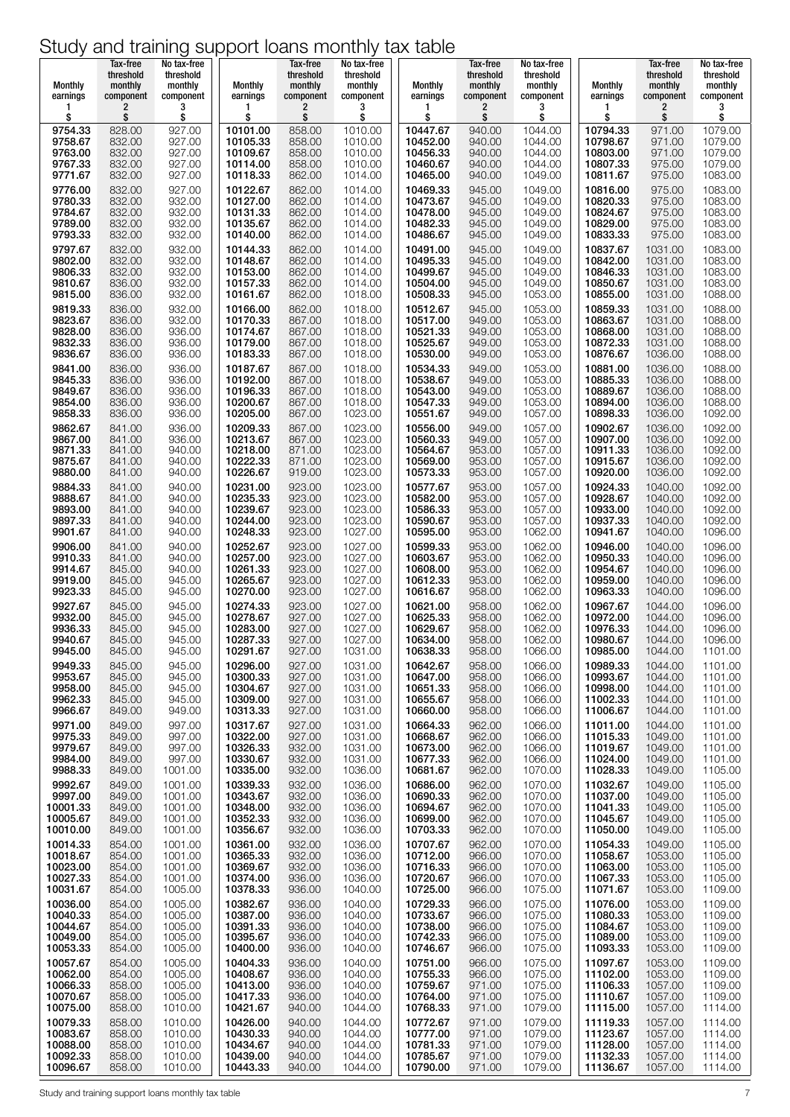| Monthly                          | Tax-free<br>threshold<br>monthly | No tax-free<br>threshold<br>monthly | Monthly                          | Tax-free<br>threshold<br>monthly | No tax-free<br>threshold<br>monthly | Monthly                          | Tax-free<br>threshold<br>monthly | No tax-free<br>threshold<br>monthly | <b>Monthly</b>                   | Tax-free<br>threshold<br>monthly | No tax-free<br>threshold<br>monthly |
|----------------------------------|----------------------------------|-------------------------------------|----------------------------------|----------------------------------|-------------------------------------|----------------------------------|----------------------------------|-------------------------------------|----------------------------------|----------------------------------|-------------------------------------|
| earnings                         | component                        | component                           | earnings                         | component                        | component                           | earnings                         | component                        | component                           | earnings                         | component                        | component                           |
| 1                                | 2                                | 3                                   | 1                                | 2                                | 3                                   | 1                                | $\overline{\mathbf{c}}$          | 3                                   | 1                                | 2                                | 3                                   |
| \$                               | \$                               | \$                                  | \$                               | \$                               | \$                                  | \$                               | \$                               | \$                                  | \$                               | \$                               | \$                                  |
| 9754.33                          | 828.00                           | 927.00                              | 10101.00                         | 858.00                           | 1010.00                             | 10447.67                         | 940.00                           | 1044.00                             | 10794.33                         | 971.00                           | 1079.00                             |
| 9758.67                          | 832.00                           | 927.00                              | 10105.33                         | 858.00                           | 1010.00                             | 10452.00                         | 940.00                           | 1044.00                             | 10798.67                         | 971.00                           | 1079.00                             |
| 9763.00                          | 832.00                           | 927.00                              | 10109.67                         | 858.00                           | 1010.00                             | 10456.33                         | 940.00                           | 1044.00                             | 10803.00                         | 971.00                           | 1079.00                             |
| 9767.33                          | 832.00                           | 927.00                              | 10114.00                         | 858.00                           | 1010.00                             | 10460.67                         | 940.00                           | 1044.00                             | 10807.33                         | 975.00                           | 1079.00                             |
| 9771.67                          | 832.00                           | 927.00                              | 10118.33                         | 862.00                           | 1014.00                             | 10465.00                         | 940.00                           | 1049.00                             | 10811.67                         | 975.00                           | 1083.00                             |
| 9776.00                          | 832.00                           | 927.00                              | 10122.67                         | 862.00                           | 1014.00                             | 10469.33                         | 945.00                           | 1049.00                             | 10816.00                         | 975.00                           | 1083.00                             |
| 9780.33                          | 832.00                           | 932.00                              | 10127.00                         | 862.00                           | 1014.00                             | 10473.67                         | 945.00                           | 1049.00                             | 10820.33                         | 975.00                           | 1083.00                             |
| 9784.67                          | 832.00                           | 932.00                              | 10131.33                         | 862.00                           | 1014.00                             | 10478.00                         | 945.00                           | 1049.00                             | 10824.67                         | 975.00                           | 1083.00                             |
| 9789.00                          | 832.00                           | 932.00                              | 10135.67                         | 862.00                           | 1014.00                             | 10482.33                         | 945.00                           | 1049.00                             | 10829.00                         | 975.00                           | 1083.00                             |
| 9793.33                          | 832.00                           | 932.00                              | 10140.00                         | 862.00                           | 1014.00                             | 10486.67                         | 945.00                           | 1049.00                             | 10833.33                         | 975.00                           | 1083.00                             |
| 9797.67                          | 832.00                           | 932.00                              | 10144.33                         | 862.00                           | 1014.00                             | 10491.00                         | 945.00                           | 1049.00                             | 10837.67                         | 1031.00                          | 1083.00                             |
| 9802.00                          | 832.00                           | 932.00                              | 10148.67                         | 862.00                           | 1014.00                             | 10495.33                         | 945.00                           | 1049.00                             | 10842.00                         | 1031.00                          | 1083.00                             |
| 9806.33                          | 832.00                           | 932.00                              | 10153.00                         | 862.00                           | 1014.00                             | 10499.67                         | 945.00                           | 1049.00                             | 10846.33                         | 1031.00                          | 1083.00                             |
| 9810.67                          | 836.00                           | 932.00                              | 10157.33                         | 862.00                           | 1014.00                             | 10504.00                         | 945.00                           | 1049.00                             | 10850.67                         | 1031.00                          | 1083.00                             |
| 9815.00                          | 836.00                           | 932.00                              | 10161.67                         | 862.00                           | 1018.00                             | 10508.33                         | 945.00                           | 1053.00                             | 10855.00                         | 1031.00                          | 1088.00                             |
| 9819.33                          | 836.00                           | 932.00                              | 10166.00                         | 862.00                           | 1018.00                             | 10512.67                         | 945.00                           | 1053.00                             | 10859.33                         | 1031.00                          | 1088.00                             |
| 9823.67                          | 836.00                           | 932.00                              | 10170.33                         | 867.00                           | 1018.00                             | 10517.00                         | 949.00                           | 1053.00                             | 10863.67                         | 1031.00                          | 1088.00                             |
| 9828.00                          | 836.00                           | 936.00                              | 10174.67                         | 867.00                           | 1018.00                             | 10521.33                         | 949.00                           | 1053.00                             | 10868.00                         | 1031.00                          | 1088.00                             |
| 9832.33                          | 836.00                           | 936.00                              | 10179.00                         | 867.00                           | 1018.00                             | 10525.67                         | 949.00                           | 1053.00                             | 10872.33                         | 1031.00                          | 1088.00                             |
| 9836.67                          | 836.00                           | 936.00                              | 10183.33                         | 867.00                           | 1018.00                             | 10530.00                         | 949.00                           | 1053.00                             | 10876.67                         | 1036.00                          | 1088.00                             |
| 9841.00                          | 836.00                           | 936.00                              | 10187.67                         | 867.00                           | 1018.00                             | 10534.33                         | 949.00                           | 1053.00                             | 10881.00                         | 1036.00                          | 1088.00                             |
| 9845.33                          | 836.00                           | 936.00                              | 10192.00                         | 867.00                           | 1018.00                             | 10538.67                         | 949.00                           | 1053.00                             | 10885.33                         | 1036.00                          | 1088.00                             |
| 9849.67                          | 836.00                           | 936.00                              | 10196.33                         | 867.00                           | 1018.00                             | 10543.00                         | 949.00                           | 1053.00                             | 10889.67                         | 1036.00                          | 1088.00                             |
| 9854.00                          | 836.00                           | 936.00                              | 10200.67                         | 867.00                           | 1018.00                             | 10547.33                         | 949.00                           | 1053.00                             | 10894.00                         | 1036.00                          | 1088.00                             |
| 9858.33                          | 836.00                           | 936.00                              | 10205.00                         | 867.00                           | 1023.00                             | 10551.67                         | 949.00                           | 1057.00                             | 10898.33                         | 1036.00                          | 1092.00                             |
| 9862.67                          | 841.00                           | 936.00                              | 10209.33                         | 867.00                           | 1023.00                             | 10556.00                         | 949.00                           | 1057.00                             | 10902.67                         | 1036.00                          | 1092.00                             |
| 9867.00                          | 841.00                           | 936.00                              | 10213.67                         | 867.00                           | 1023.00                             | 10560.33                         | 949.00                           | 1057.00                             | 10907.00                         | 1036.00                          | 1092.00                             |
| 9871.33                          | 841.00                           | 940.00                              | 10218.00                         | 871.00                           | 1023.00                             | 10564.67                         | 953.00                           | 1057.00                             | 10911.33                         | 1036.00                          | 1092.00                             |
| 9875.67                          | 841.00                           | 940.00                              | 10222.33                         | 871.00                           | 1023.00                             | 10569.00                         | 953.00                           | 1057.00                             | 10915.67                         | 1036.00                          | 1092.00                             |
| 9880.00                          | 841.00                           | 940.00                              | 10226.67                         | 919.00                           | 1023.00                             | 10573.33                         | 953.00                           | 1057.00                             | 10920.00                         | 1036.00                          | 1092.00                             |
| 9884.33                          | 841.00                           | 940.00                              | 10231.00                         | 923.00                           | 1023.00                             | 10577.67                         | 953.00                           | 1057.00                             | 10924.33                         | 1040.00                          | 1092.00                             |
| 9888.67                          | 841.00                           | 940.00                              | 10235.33                         | 923.00                           | 1023.00                             | 10582.00                         | 953.00                           | 1057.00                             | 10928.67                         | 1040.00                          | 1092.00                             |
| 9893.00                          | 841.00                           | 940.00                              | 10239.67                         | 923.00                           | 1023.00                             | 10586.33                         | 953.00                           | 1057.00                             | 10933.00                         | 1040.00                          | 1092.00                             |
| 9897.33                          | 841.00                           | 940.00                              | 10244.00                         | 923.00                           | 1023.00                             | 10590.67                         | 953.00                           | 1057.00                             | 10937.33                         | 1040.00                          | 1092.00                             |
| 9901.67                          | 841.00                           | 940.00                              | 10248.33                         | 923.00                           | 1027.00                             | 10595.00                         | 953.00                           | 1062.00                             | 10941.67                         | 1040.00                          | 1096.00                             |
| 9906.00                          | 841.00                           | 940.00                              | 10252.67                         | 923.00                           | 1027.00                             | 10599.33                         | 953.00                           | 1062.00                             | 10946.00                         | 1040.00                          | 1096.00                             |
| 9910.33                          | 841.00                           | 940.00                              | 10257.00                         | 923.00                           | 1027.00                             | 10603.67                         | 953.00                           | 1062.00                             | 10950.33                         | 1040.00                          | 1096.00                             |
| 9914.67                          | 845.00                           | 940.00                              | 10261.33                         | 923.00                           | 1027.00                             | 10608.00                         | 953.00                           | 1062.00                             | 10954.67                         | 1040.00                          | 1096.00                             |
| 9919.00                          | 845.00                           | 945.00                              | 10265.67                         | 923.00                           | 1027.00                             | 10612.33                         | 953.00                           | 1062.00                             | 10959.00                         | 1040.00                          | 1096.00                             |
| 9923.33                          | 845.00                           | 945.00                              | 10270.00                         | 923.00                           | 1027.00                             | 10616.67                         | 958.00                           | 1062.00                             | 10963.33                         | 1040.00                          | 1096.00                             |
| 9927.67                          | 845.00                           | 945.00                              | 10274.33                         | 923.00                           | 1027.00                             | 10621.00                         | 958.00                           | 1062.00                             | 10967.67                         | 1044.00                          | 1096.00                             |
| 9932.00                          | 845.00                           | 945.00                              | 10278.67                         | 927.00                           | 1027.00                             | 10625.33                         | 958.00                           | 1062.00                             | 10972.00                         | 1044.00                          | 1096.00                             |
| 9936.33                          | 845.00                           | 945.00                              | 10283.00                         | 927.00                           | 1027.00                             | 10629.67                         | 958.00                           | 1062.00                             | 10976.33                         | 1044.00                          | 1096.00                             |
| 9940.67                          | 845.00                           | 945.00                              | 10287.33                         | 927.00                           | 1027.00                             | 10634.00                         | 958.00                           | 1062.00                             | 10980.67                         | 1044.00                          | 1096.00                             |
| 9945.00                          | 845.00                           | 945.00                              | 10291.67                         | 927.00                           | 1031.00                             | 10638.33                         | 958.00                           | 1066.00                             | 10985.00                         | 1044.00                          | 1101.00                             |
| 9949.33                          | 845.00                           | 945.00                              | 10296.00                         | 927.00                           | 1031.00                             | 10642.67                         | 958.00                           | 1066.00                             | 10989.33                         | 1044.00                          | 1101.00                             |
| 9953.67                          | 845.00                           | 945.00                              | 10300.33                         | 927.00                           | 1031.00                             | 10647.00                         | 958.00                           | 1066.00                             | 10993.67                         | 1044.00                          | 1101.00                             |
| 9958.00                          | 845.00                           | 945.00                              | 10304.67                         | 927.00                           | 1031.00                             | 10651.33                         | 958.00                           | 1066.00                             | 10998.00                         | 1044.00                          | 1101.00                             |
| 9962.33                          | 845.00                           | 945.00                              | 10309.00                         | 927.00                           | 1031.00                             | 10655.67                         | 958.00                           | 1066.00                             | 11002.33                         | 1044.00                          | 1101.00                             |
| 9966.67                          | 849.00                           | 949.00                              | 10313.33                         | 927.00                           | 1031.00                             | 10660.00                         | 958.00                           | 1066.00                             | 11006.67                         | 1044.00                          | 1101.00                             |
| 9971.00                          | 849.00                           | 997.00                              | 10317.67                         | 927.00                           | 1031.00                             | 10664.33                         | 962.00                           | 1066.00                             | 11011.00                         | 1044.00                          | 1101.00                             |
| 9975.33                          | 849.00                           | 997.00                              | 10322.00                         | 927.00                           | 1031.00                             | 10668.67                         | 962.00                           | 1066.00                             | 11015.33                         | 1049.00                          | 1101.00                             |
| 9979.67                          | 849.00                           | 997.00                              | 10326.33                         | 932.00                           | 1031.00                             | 10673.00                         | 962.00                           | 1066.00                             | 11019.67                         | 1049.00                          | 1101.00                             |
| 9984.00                          | 849.00                           | 997.00                              | 10330.67                         | 932.00                           | 1031.00                             | 10677.33                         | 962.00                           | 1066.00                             | 11024.00                         | 1049.00                          | 1101.00                             |
| 9988.33                          | 849.00                           | 1001.00                             | 10335.00                         | 932.00                           | 1036.00                             | 10681.67                         | 962.00                           | 1070.00                             | 11028.33                         | 1049.00                          | 1105.00                             |
| 9992.67                          | 849.00                           | 1001.00                             | 10339.33                         | 932.00                           | 1036.00                             | 10686.00                         | 962.00                           | 1070.00                             | 11032.67                         | 1049.00                          | 1105.00                             |
| 9997.00<br>10001.33              | 849.00<br>849.00                 | 1001.00<br>1001.00                  | 10343.67<br>10348.00             | 932.00<br>932.00                 | 1036.00<br>1036.00                  | 10690.33<br>10694.67             | 962.00<br>962.00                 | 1070.00<br>1070.00                  | 11037.00<br>11041.33<br>11045.67 | 1049.00<br>1049.00               | 1105.00<br>1105.00                  |
| 10005.67                         | 849.00                           | 1001.00                             | 10352.33                         | 932.00                           | 1036.00                             | 10699.00                         | 962.00                           | 1070.00                             | 11050.00                         | 1049.00                          | 1105.00                             |
| 10010.00                         | 849.00                           | 1001.00                             | 10356.67                         | 932.00                           | 1036.00                             | 10703.33                         | 962.00                           | 1070.00                             |                                  | 1049.00                          | 1105.00                             |
| 10014.33<br>10018.67<br>10023.00 | 854.00<br>854.00                 | 1001.00<br>1001.00                  | 10361.00<br>10365.33<br>10369.67 | 932.00<br>932.00<br>932.00       | 1036.00<br>1036.00<br>1036.00       | 10707.67<br>10712.00<br>10716.33 | 962.00<br>966.00                 | 1070.00<br>1070.00<br>1070.00       | 11054.33<br>11058.67<br>11063.00 | 1049.00<br>1053.00<br>1053.00    | 1105.00<br>1105.00<br>1105.00       |
| 10027.33<br>10031.67             | 854.00<br>854.00<br>854.00       | 1001.00<br>1001.00<br>1005.00       | 10374.00<br>10378.33             | 936.00<br>936.00                 | 1036.00<br>1040.00                  | 10720.67<br>10725.00             | 966.00<br>966.00<br>966.00       | 1070.00<br>1075.00                  | 11067.33<br>11071.67             | 1053.00<br>1053.00               | 1105.00<br>1109.00                  |
| 10036.00                         | 854.00                           | 1005.00                             | 10382.67                         | 936.00                           | 1040.00                             | 10729.33                         | 966.00                           | 1075.00                             | 11076.00                         | 1053.00                          | 1109.00                             |
| 10040.33                         | 854.00                           | 1005.00                             | 10387.00                         | 936.00                           | 1040.00                             | 10733.67                         | 966.00                           | 1075.00                             | 11080.33                         | 1053.00                          | 1109.00                             |
| 10044.67                         | 854.00                           | 1005.00                             | 10391.33                         | 936.00                           | 1040.00                             | 10738.00                         | 966.00                           | 1075.00                             | 11084.67                         | 1053.00                          | 1109.00                             |
| 10049.00                         | 854.00                           | 1005.00                             | 10395.67                         | 936.00                           | 1040.00                             | 10742.33                         | 966.00                           | 1075.00                             | 11089.00                         | 1053.00                          | 1109.00                             |
| 10053.33                         | 854.00                           | 1005.00<br>1005.00                  | 10400.00                         | 936.00                           | 1040.00                             | 10746.67                         | 966.00                           | 1075.00                             | 11093.33                         | 1053.00                          | 1109.00                             |
| 10057.67<br>10062.00<br>10066.33 | 854.00<br>854.00<br>858.00       | 1005.00<br>1005.00                  | 10404.33<br>10408.67<br>10413.00 | 936.00<br>936.00<br>936.00       | 1040.00<br>1040.00<br>1040.00       | 10751.00<br>10755.33<br>10759.67 | 966.00<br>966.00<br>971.00       | 1075.00<br>1075.00<br>1075.00       | 11097.67<br>11102.00<br>11106.33 | 1053.00<br>1053.00<br>1057.00    | 1109.00<br>1109.00<br>1109.00       |
| 10070.67                         | 858.00                           | 1005.00                             | 10417.33                         | 936.00                           | 1040.00                             | 10764.00                         | 971.00                           | 1075.00                             | 11110.67                         | 1057.00                          | 1109.00                             |
| 10075.00                         | 858.00                           | 1010.00                             | 10421.67                         | 940.00                           | 1044.00                             | 10768.33                         | 971.00                           | 1079.00                             | 11115.00                         | 1057.00                          | 1114.00                             |
| 10079.33                         | 858.00                           | 1010.00                             | 10426.00<br>10430.33             | 940.00<br>940.00                 | 1044.00<br>1044.00                  | 10772.67                         | 971.00                           | 1079.00                             | 11119.33                         | 1057.00                          | 1114.00                             |
| 10083.67<br>10088.00<br>10092.33 | 858.00<br>858.00<br>858.00       | 1010.00<br>1010.00<br>1010.00       | 10434.67<br>10439.00             | 940.00<br>940.00                 | 1044.00<br>1044.00                  | 10777.00<br>10781.33<br>10785.67 | 971.00<br>971.00<br>971.00       | 1079.00<br>1079.00<br>1079.00       | 11123.67<br>11128.00<br>11132.33 | 1057.00<br>1057.00<br>1057.00    | 1114.00<br>1114.00<br>1114.00       |
| 10096.67                         | 858.00                           | 1010.00                             | 10443.33                         | 940.00                           | 1044.00                             | 10790.00                         | 971.00                           | 1079.00                             | 11136.67                         | 1057.00                          | 1114.00                             |